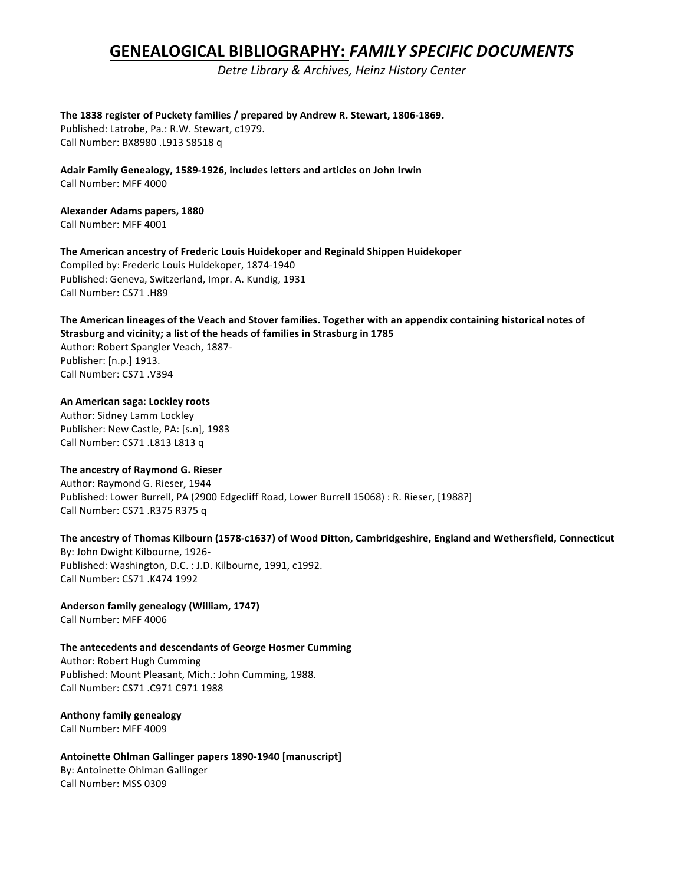# **GENEALOGICAL BIBLIOGRAPHY:** *FAMILY SPECIFIC DOCUMENTS*

*Detre Library & Archives, Heinz History Center*

The 1838 register of Puckety families / prepared by Andrew R. Stewart, 1806-1869. Published: Latrobe, Pa.: R.W. Stewart, c1979. Call Number: BX8980 .L913 S8518 q

Adair Family Genealogy, 1589-1926, includes letters and articles on John Irwin Call Number: MFF 4000

**Alexander Adams papers, 1880**

Call Number: MFF 4001

The American ancestry of Frederic Louis Huidekoper and Reginald Shippen Huidekoper

Compiled by: Frederic Louis Huidekoper, 1874-1940 Published: Geneva, Switzerland, Impr. A. Kundig, 1931 Call Number: CS71 .H89

The American lineages of the Veach and Stover families. Together with an appendix containing historical notes of **Strasburg and vicinity; a list of the heads of families in Strasburg in 1785** 

Author: Robert Spangler Veach, 1887-Publisher: [n.p.] 1913. Call Number: CS71 .V394

## **An American saga: Lockley roots**

Author: Sidney Lamm Lockley Publisher: New Castle, PA: [s.n], 1983 Call Number: CS71 .L813 L813 q

## The ancestry of Raymond G. Rieser

Author: Raymond G. Rieser, 1944 Published: Lower Burrell, PA (2900 Edgecliff Road, Lower Burrell 15068) : R. Rieser, [1988?] Call Number: CS71 .R375 R375 q

## The ancestry of Thomas Kilbourn (1578-c1637) of Wood Ditton, Cambridgeshire, England and Wethersfield, Connecticut

By: John Dwight Kilbourne, 1926-Published: Washington, D.C. : J.D. Kilbourne, 1991, c1992. Call Number: CS71 .K474 1992

Anderson family genealogy (William, 1747) Call Number: MFF 4006

## The antecedents and descendants of George Hosmer Cumming

Author: Robert Hugh Cumming Published: Mount Pleasant, Mich.: John Cumming, 1988. Call Number: CS71 .C971 C971 1988

**Anthony family genealogy** Call Number: MFF 4009

Antoinette Ohlman Gallinger papers 1890-1940 [manuscript] By: Antoinette Ohlman Gallinger Call Number: MSS 0309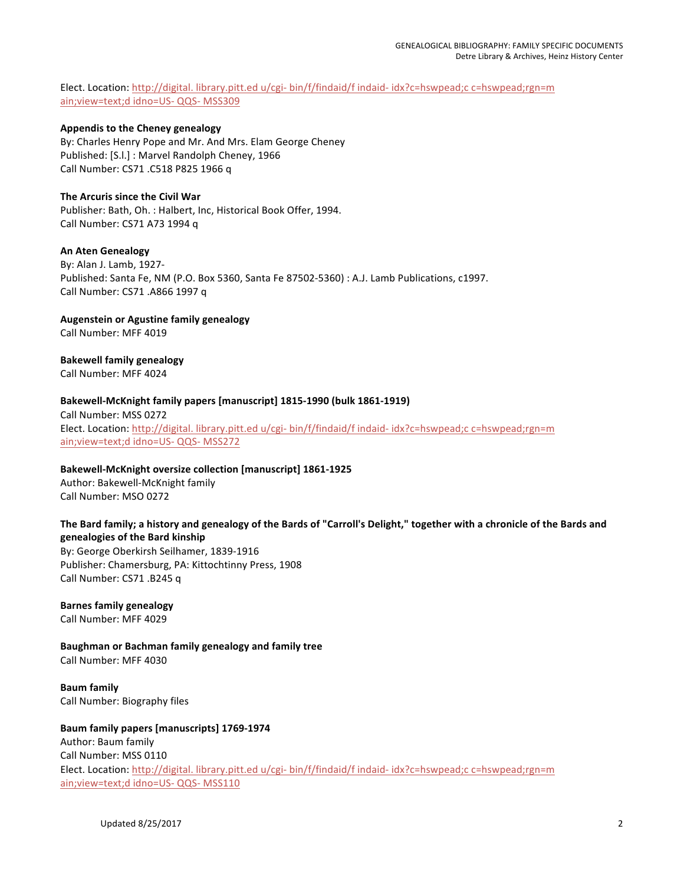Elect. Location: http://digital. library.pitt.ed u/cgi- bin/f/findaid/f indaid- idx?c=hswpead;c c=hswpead;rgn=m ain; view=text;d idno=US- QQS- MSS309

#### **Appendis to the Cheney genealogy**

By: Charles Henry Pope and Mr. And Mrs. Elam George Cheney Published: [S.l.] : Marvel Randolph Cheney, 1966 Call Number: CS71 .C518 P825 1966 q

#### **The Arcuris since the Civil War**

Publisher: Bath, Oh. : Halbert, Inc, Historical Book Offer, 1994. Call Number: CS71 A73 1994 q

#### **An Aten Genealogy**

By: Alan J. Lamb, 1927-Published: Santa Fe, NM (P.O. Box 5360, Santa Fe 87502-5360) : A.J. Lamb Publications, c1997. Call Number: CS71 .A866 1997 q

#### **Augenstein or Agustine family genealogy**

Call Number: MFF 4019

#### **Bakewell family genealogy**

Call Number: MFF 4024

#### Bakewell-McKnight family papers [manuscript] 1815-1990 (bulk 1861-1919)

Call Number: MSS 0272 Elect. Location: http://digital. library.pitt.ed u/cgi- bin/f/findaid/f indaid- idx?c=hswpead;c c=hswpead;rgn=m ain; view=text;d idno=US- QQS- MSS272

#### Bakewell-McKnight oversize collection [manuscript] 1861-1925

Author: Bakewell-McKnight family Call Number: MSO 0272

## The Bard family; a history and genealogy of the Bards of "Carroll's Delight," together with a chronicle of the Bards and **genealogies of the Bard kinship**

By: George Oberkirsh Seilhamer, 1839-1916 Publisher: Chamersburg, PA: Kittochtinny Press, 1908 Call Number: CS71 .B245 q

## **Barnes family genealogy**

Call Number: MFF 4029

**Baughman or Bachman family genealogy and family tree** Call Number: MFF 4030

**Baum family** Call Number: Biography files

#### **Baum family papers [manuscripts] 1769-1974** Author: Baum family

Call Number: MSS 0110 Elect. Location: http://digital. library.pitt.ed u/cgi- bin/f/findaid/f indaid- idx?c=hswpead;c c=hswpead;rgn=m ain; view=text;d idno=US- QQS- MSS110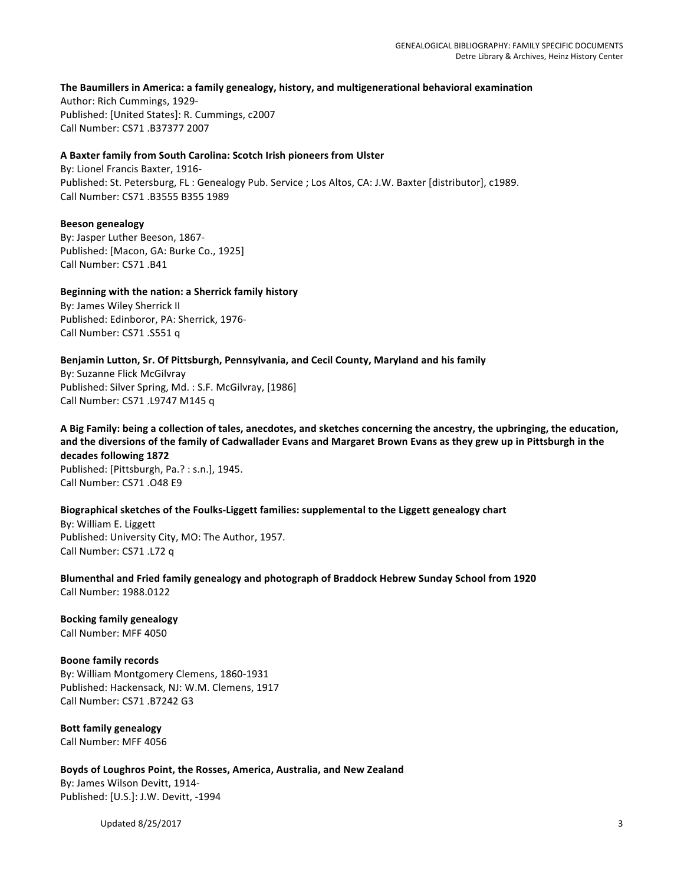#### The Baumillers in America: a family genealogy, history, and multigenerational behavioral examination

Author: Rich Cummings, 1929-Published: [United States]: R. Cummings, c2007 Call Number: CS71 .B37377 2007

#### **A Baxter family from South Carolina: Scotch Irish pioneers from Ulster**

By: Lionel Francis Baxter, 1916-Published: St. Petersburg, FL: Genealogy Pub. Service ; Los Altos, CA: J.W. Baxter [distributor], c1989. Call Number: CS71 .B3555 B355 1989

#### **Beeson genealogy**

By: Jasper Luther Beeson, 1867-Published: [Macon, GA: Burke Co., 1925] Call Number: CS71 .B41

#### **Beginning with the nation: a Sherrick family history** By: James Wiley Sherrick II

Published: Edinboror, PA: Sherrick, 1976-Call Number: CS71 .S551 q

## Benjamin Lutton, Sr. Of Pittsburgh, Pennsylvania, and Cecil County, Maryland and his family

By: Suzanne Flick McGilvray Published: Silver Spring, Md. : S.F. McGilvray, [1986] Call Number: CS71 .L9747 M145 q

#### A Big Family: being a collection of tales, anecdotes, and sketches concerning the ancestry, the upbringing, the education, and the diversions of the family of Cadwallader Evans and Margaret Brown Evans as they grew up in Pittsburgh in the **decades following 1872**

Published: [Pittsburgh, Pa.? : s.n.], 1945. Call Number: CS71 .048 E9

## Biographical sketches of the Foulks-Liggett families: supplemental to the Liggett genealogy chart

By: William E. Liggett Published: University City, MO: The Author, 1957. Call Number: CS71 .L72 q

## Blumenthal and Fried family genealogy and photograph of Braddock Hebrew Sunday School from 1920 Call Number: 1988.0122

**Bocking family genealogy** Call Number: MFF 4050

## **Boone family records**

By: William Montgomery Clemens, 1860-1931 Published: Hackensack, NJ: W.M. Clemens, 1917 Call Number: CS71 .B7242 G3

#### **Bott family genealogy** Call Number: MFF 4056

## Boyds of Loughros Point, the Rosses, America, Australia, and New Zealand

By: James Wilson Devitt, 1914-Published: [U.S.]: J.W. Devitt, -1994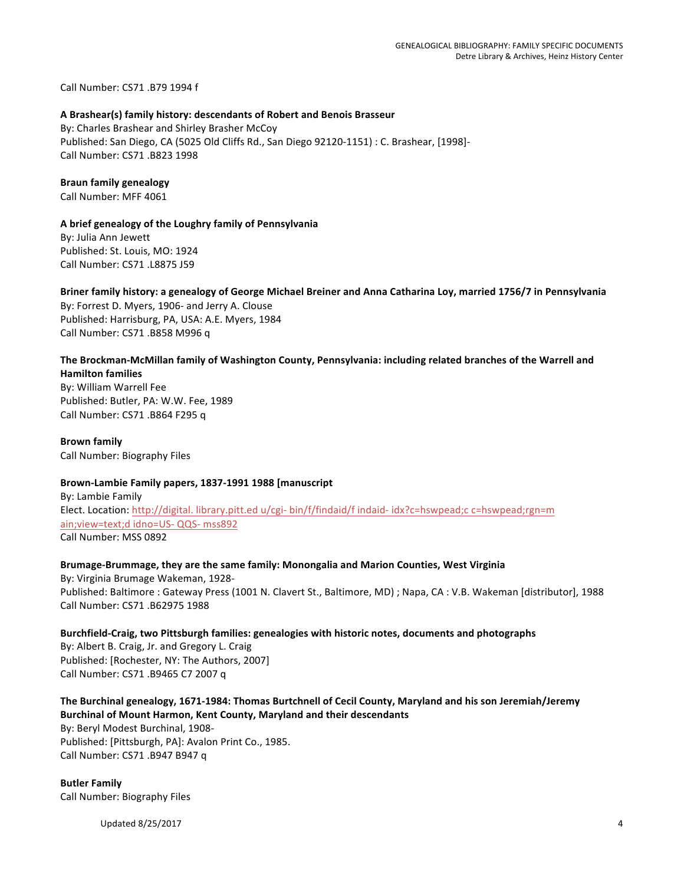Call Number: CS71 .B79 1994 f

#### **A Brashear(s) family history: descendants of Robert and Benois Brasseur**

By: Charles Brashear and Shirley Brasher McCoy Published: San Diego, CA (5025 Old Cliffs Rd., San Diego 92120-1151) : C. Brashear, [1998]-Call Number: CS71 .B823 1998

# **Braun family genealogy**

Call Number: MFF 4061

## A brief genealogy of the Loughry family of Pennsylvania

By: Julia Ann Jewett Published: St. Louis, MO: 1924 Call Number: CS71 .L8875 J59

## Briner family history: a genealogy of George Michael Breiner and Anna Catharina Loy, married 1756/7 in Pennsylvania

By: Forrest D. Myers, 1906- and Jerry A. Clouse Published: Harrisburg, PA, USA: A.E. Myers, 1984 Call Number: CS71 .B858 M996 q

## The Brockman-McMillan family of Washington County, Pennsylvania: including related branches of the Warrell and **Hamilton families**

By: William Warrell Fee Published: Butler, PA: W.W. Fee, 1989 Call Number: CS71 .B864 F295 q

**Brown family** Call Number: Biography Files

## Brown-Lambie Family papers, 1837-1991 1988 [manuscript

By: Lambie Family Elect. Location: http://digital. library.pitt.ed u/cgi- bin/f/findaid/f indaid- idx?c=hswpead;c c=hswpead;rgn=m ain; view=text;d idno=US- QQS- mss892 Call Number: MSS 0892

# Brumage-Brummage, they are the same family: Monongalia and Marion Counties, West Virginia

By: Virginia Brumage Wakeman, 1928-Published: Baltimore : Gateway Press (1001 N. Clavert St., Baltimore, MD) ; Napa, CA : V.B. Wakeman [distributor], 1988 Call Number: CS71 .B62975 1988

# Burchfield-Craig, two Pittsburgh families: genealogies with historic notes, documents and photographs

By: Albert B. Craig, Jr. and Gregory L. Craig Published: [Rochester, NY: The Authors, 2007] Call Number: CS71 .B9465 C7 2007 q

# The Burchinal genealogy, 1671-1984: Thomas Burtchnell of Cecil County, Maryland and his son Jeremiah/Jeremy **Burchinal of Mount Harmon, Kent County, Maryland and their descendants**

By: Beryl Modest Burchinal, 1908-Published: [Pittsburgh, PA]: Avalon Print Co., 1985. Call Number: CS71 .B947 B947 q

**Butler Family** Call Number: Biography Files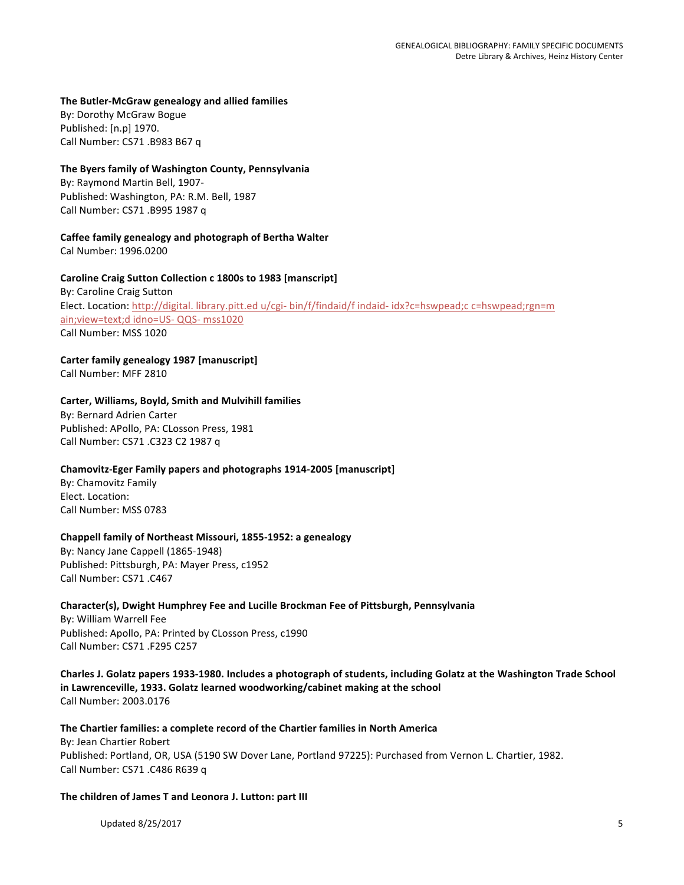#### **The Butler-McGraw genealogy and allied families**

By: Dorothy McGraw Bogue Published: [n.p] 1970. Call Number: CS71 .B983 B67 q

#### **The Byers family of Washington County, Pennsylvania**

By: Raymond Martin Bell, 1907-Published: Washington, PA: R.M. Bell, 1987 Call Number: CS71 .B995 1987 q

#### Caffee family genealogy and photograph of Bertha Walter

Cal Number: 1996.0200

#### Caroline Craig Sutton Collection c 1800s to 1983 [manscript]

By: Caroline Craig Sutton Elect. Location: http://digital. library.pitt.ed u/cgi- bin/f/findaid/f indaid- idx?c=hswpead;c c=hswpead;rgn=m ain; view=text;d idno=US- QQS- mss1020 Call Number: MSS 1020

# Carter family genealogy 1987 [manuscript]

Call Number: MFF 2810

#### **Carter, Williams, Boyld, Smith and Mulvihill families**

By: Bernard Adrien Carter Published: APollo, PA: CLosson Press, 1981 Call Number: CS71 .C323 C2 1987 q

## Chamovitz-Eger Family papers and photographs 1914-2005 [manuscript]

By: Chamovitz Family Elect. Location: Call Number: MSS 0783

#### **Chappell family of Northeast Missouri, 1855-1952: a genealogy**

By: Nancy Jane Cappell (1865-1948) Published: Pittsburgh, PA: Mayer Press, c1952 Call Number: CS71 .C467

#### Character(s), Dwight Humphrey Fee and Lucille Brockman Fee of Pittsburgh, Pennsylvania

By: William Warrell Fee Published: Apollo, PA: Printed by CLosson Press, c1990 Call Number: CS71 .F295 C257

Charles J. Golatz papers 1933-1980. Includes a photograph of students, including Golatz at the Washington Trade School in Lawrenceville, 1933. Golatz learned woodworking/cabinet making at the school Call Number: 2003.0176

## The Chartier families: a complete record of the Chartier families in North America By: Jean Chartier Robert Published: Portland, OR, USA (5190 SW Dover Lane, Portland 97225): Purchased from Vernon L. Chartier, 1982. Call Number: CS71 .C486 R639 q

#### The children of James T and Leonora J. Lutton: part III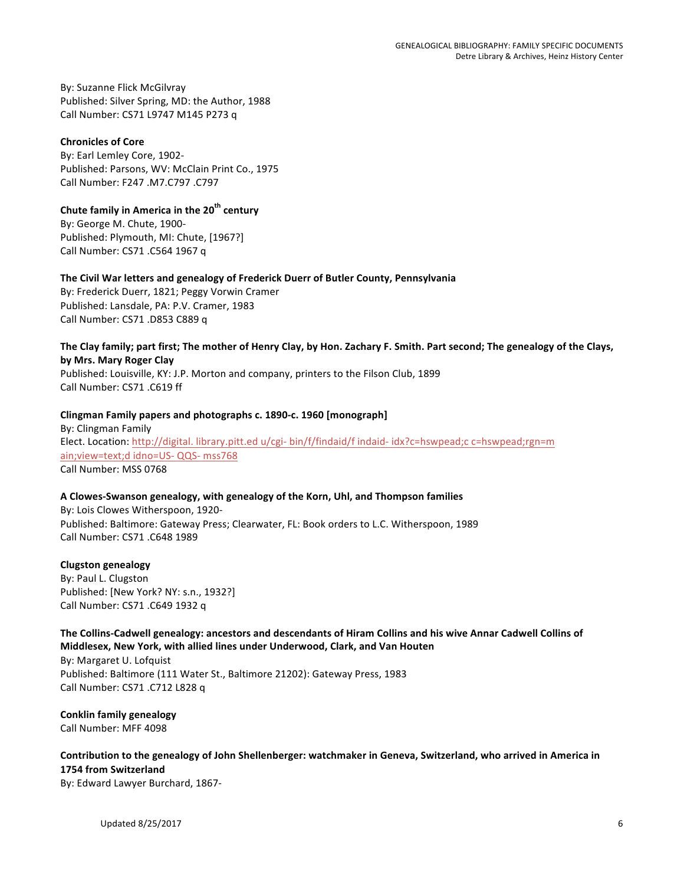By: Suzanne Flick McGilvray Published: Silver Spring, MD: the Author, 1988 Call Number: CS71 L9747 M145 P273 q

## **Chronicles of Core**

By: Earl Lemley Core, 1902-Published: Parsons, WV: McClain Print Co., 1975 Call Number: F247 .M7.C797 .C797

# **Chute family in America in the 20<sup>th</sup> century**

By: George M. Chute, 1900-Published: Plymouth, MI: Chute, [1967?] Call Number: CS71 .C564 1967 q

# The Civil War letters and genealogy of Frederick Duerr of Butler County, Pennsylvania

By: Frederick Duerr, 1821; Peggy Vorwin Cramer Published: Lansdale, PA: P.V. Cramer, 1983 Call Number: CS71 .D853 C889 q

## The Clay family; part first; The mother of Henry Clay, by Hon. Zachary F. Smith. Part second; The genealogy of the Clays, **by Mrs. Mary Roger Clay**

Published: Louisville, KY: J.P. Morton and company, printers to the Filson Club, 1899 Call Number: CS71 .C619 ff

## Clingman Family papers and photographs c. 1890-c. 1960 [monograph]

By: Clingman Family Elect. Location: http://digital. library.pitt.ed u/cgi- bin/f/findaid/f indaid- idx?c=hswpead;c c=hswpead;rgn=m ain; view=text;d idno=US- QQS- mss768 Call Number: MSS 0768

## **A Clowes-Swanson genealogy, with genealogy of the Korn, Uhl, and Thompson families**

By: Lois Clowes Witherspoon, 1920-Published: Baltimore: Gateway Press; Clearwater, FL: Book orders to L.C. Witherspoon, 1989 Call Number: CS71 .C648 1989

## **Clugston genealogy**

By: Paul L. Clugston Published: [New York? NY: s.n., 1932?] Call Number: CS71 .C649 1932 q

# The Collins-Cadwell genealogy: ancestors and descendants of Hiram Collins and his wive Annar Cadwell Collins of **Middlesex, New York, with allied lines under Underwood, Clark, and Van Houten**

By: Margaret U. Lofquist Published: Baltimore (111 Water St., Baltimore 21202): Gateway Press, 1983 Call Number: CS71 .C712 L828 q

**Conklin family genealogy** Call Number: MFF 4098

Contribution to the genealogy of John Shellenberger: watchmaker in Geneva, Switzerland, who arrived in America in **1754 from Switzerland**

By: Edward Lawyer Burchard, 1867-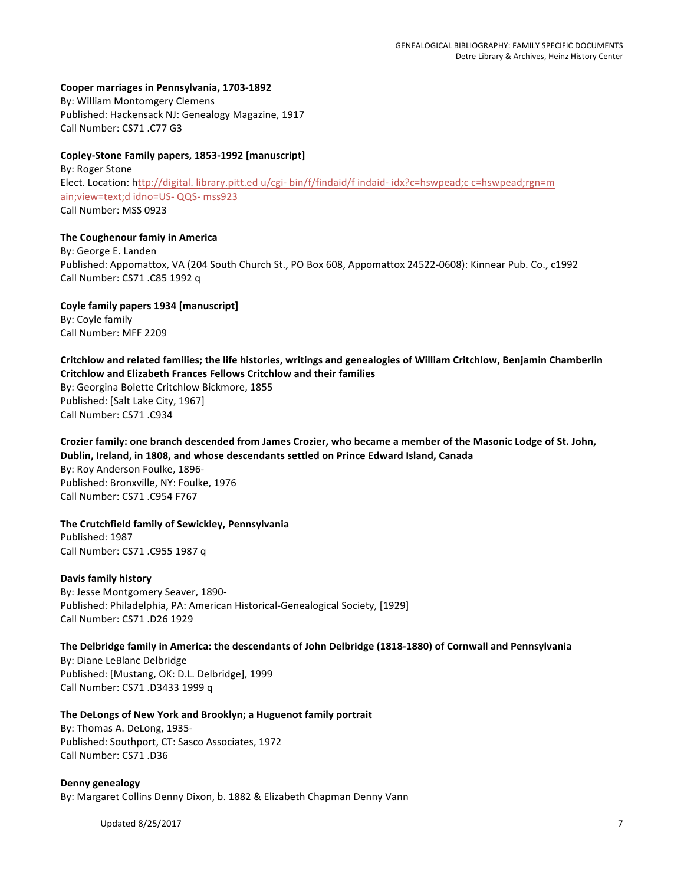#### Cooper marriages in Pennsylvania, 1703-1892

By: William Montomgery Clemens Published: Hackensack NJ: Genealogy Magazine, 1917 Call Number: CS71 .C77 G3

#### Copley-Stone Family papers, 1853-1992 [manuscript]

By: Roger Stone Elect. Location: http://digital. library.pitt.ed u/cgi- bin/f/findaid/f indaid- idx?c=hswpead;c c=hswpead;rgn=m ain; view=text;d idno=US- QQS- mss923 Call Number: MSS 0923

#### **The Coughenour famiy in America**

By: George E. Landen Published: Appomattox, VA (204 South Church St., PO Box 608, Appomattox 24522-0608): Kinnear Pub. Co., c1992 Call Number: CS71 .C85 1992 q

Coyle family papers 1934 [manuscript] By: Coyle family Call Number: MFF 2209

# Critchlow and related families; the life histories, writings and genealogies of William Critchlow, Benjamin Chamberlin **Critchlow and Elizabeth Frances Fellows Critchlow and their families**

By: Georgina Bolette Critchlow Bickmore, 1855 Published: [Salt Lake City, 1967] Call Number: CS71 .C934

Crozier family: one branch descended from James Crozier, who became a member of the Masonic Lodge of St. John, Dublin, Ireland, in 1808, and whose descendants settled on Prince Edward Island, Canada By: Roy Anderson Foulke, 1896-Published: Bronxville, NY: Foulke, 1976 Call Number: CS71 .C954 F767

# **The Crutchfield family of Sewickley, Pennsylvania** Published: 1987

Call Number: CS71 .C955 1987 q

## **Davis family history**

By: Jesse Montgomery Seaver, 1890-Published: Philadelphia, PA: American Historical-Genealogical Society, [1929] Call Number: CS71 .D26 1929

## The Delbridge family in America: the descendants of John Delbridge (1818-1880) of Cornwall and Pennsylvania

By: Diane LeBlanc Delbridge Published: [Mustang, OK: D.L. Delbridge], 1999 Call Number: CS71 .D3433 1999 q

#### The DeLongs of New York and Brooklyn; a Huguenot family portrait

By: Thomas A. DeLong, 1935-Published: Southport, CT: Sasco Associates, 1972 Call Number: CS71 .D36

**Denny genealogy** By: Margaret Collins Denny Dixon, b. 1882 & Elizabeth Chapman Denny Vann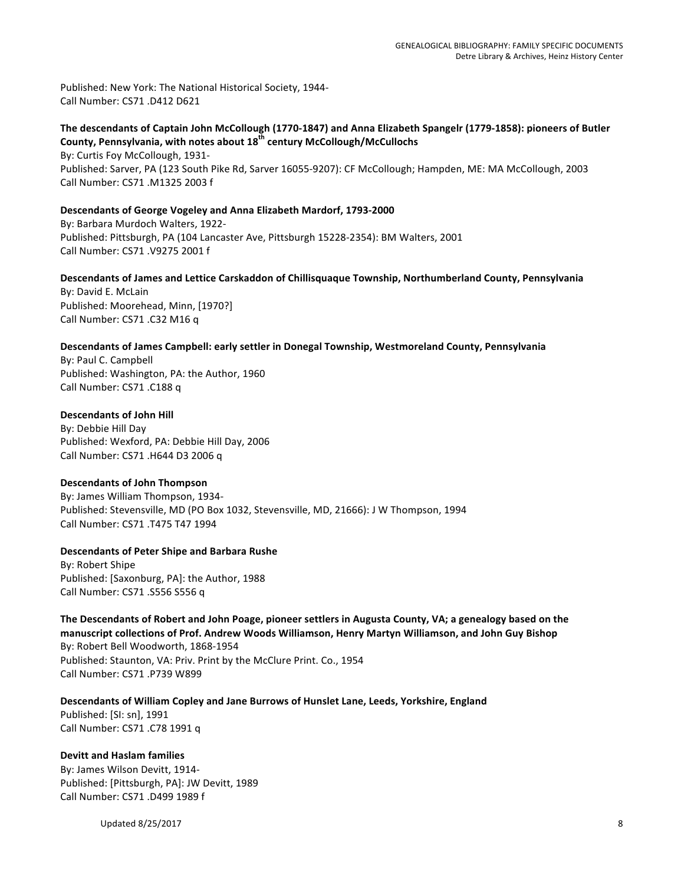Published: New York: The National Historical Society, 1944-Call Number: CS71 .D412 D621

The descendants of Captain John McCollough (1770-1847) and Anna Elizabeth Spangelr (1779-1858): pioneers of Butler County, Pennsylvania, with notes about 18<sup>th</sup> century McCollough/McCullochs By: Curtis Foy McCollough, 1931-

Published: Sarver, PA (123 South Pike Rd, Sarver 16055-9207): CF McCollough; Hampden, ME: MA McCollough, 2003 Call Number: CS71 .M1325 2003 f

#### Descendants of George Vogeley and Anna Elizabeth Mardorf, 1793-2000

By: Barbara Murdoch Walters, 1922-Published: Pittsburgh, PA (104 Lancaster Ave, Pittsburgh 15228-2354): BM Walters, 2001 Call Number: CS71 .V9275 2001 f

# Descendants of James and Lettice Carskaddon of Chillisquaque Township, Northumberland County, Pennsylvania

By: David E. McLain Published: Moorehead, Minn, [1970?] Call Number: CS71 .C32 M16 q

#### Descendants of James Campbell: early settler in Donegal Township, Westmoreland County, Pennsylvania

By: Paul C. Campbell Published: Washington, PA: the Author, 1960 Call Number: CS71 .C188 q

#### **Descendants of John Hill**

By: Debbie Hill Day Published: Wexford, PA: Debbie Hill Day, 2006 Call Number: CS71 .H644 D3 2006 q

#### **Descendants of John Thompson**

By: James William Thompson, 1934-Published: Stevensville, MD (PO Box 1032, Stevensville, MD, 21666): J W Thompson, 1994 Call Number: CS71 .T475 T47 1994

#### **Descendants of Peter Shipe and Barbara Rushe**

By: Robert Shipe Published: [Saxonburg, PA]: the Author, 1988 Call Number: CS71 .S556 S556 q

The Descendants of Robert and John Poage, pioneer settlers in Augusta County, VA; a genealogy based on the manuscript collections of Prof. Andrew Woods Williamson, Henry Martyn Williamson, and John Guy Bishop By: Robert Bell Woodworth, 1868-1954 Published: Staunton, VA: Priv. Print by the McClure Print. Co., 1954 Call Number: CS71 .P739 W899

Descendants of William Copley and Jane Burrows of Hunslet Lane, Leeds, Yorkshire, England Published: [SI: sn], 1991 Call Number: CS71 .C78 1991 q

## **Devitt and Haslam families**

By: James Wilson Devitt, 1914-Published: [Pittsburgh, PA]: JW Devitt, 1989 Call Number: CS71 .D499 1989 f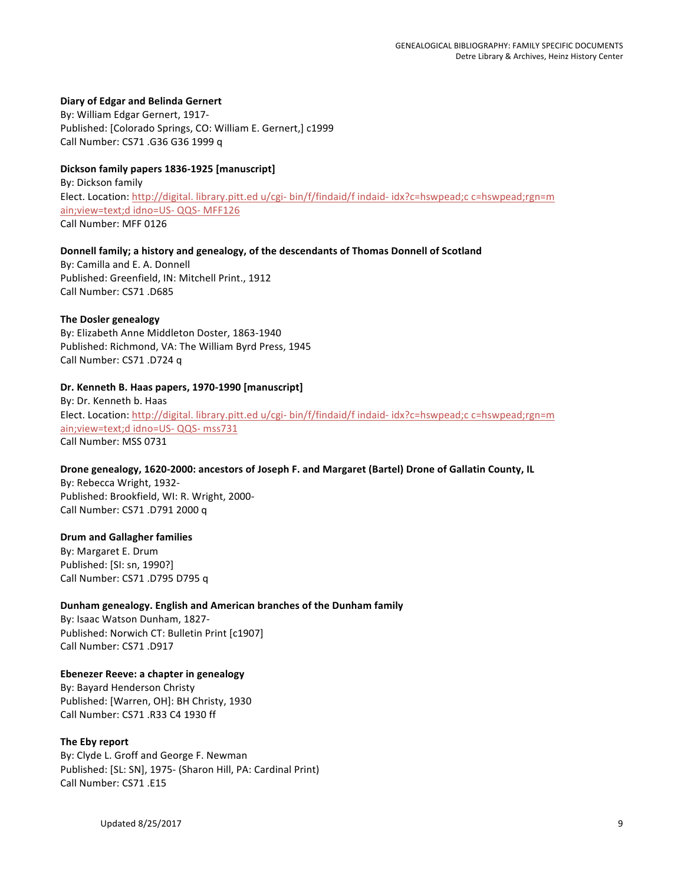#### **Diary of Edgar and Belinda Gernert**

By: William Edgar Gernert, 1917-Published: [Colorado Springs, CO: William E. Gernert,] c1999 Call Number: CS71 .G36 G36 1999 q

#### **Dickson family papers 1836-1925 [manuscript]**

By: Dickson family Elect. Location: http://digital. library.pitt.ed u/cgi- bin/f/findaid/f indaid- idx?c=hswpead;c c=hswpead;rgn=m ain; view=text;d idno=US- QQS- MFF126 Call Number: MFF 0126

#### Donnell family; a history and genealogy, of the descendants of Thomas Donnell of Scotland

By: Camilla and E. A. Donnell Published: Greenfield, IN: Mitchell Print., 1912 Call Number: CS71 .D685

#### **The Dosler genealogy**

By: Elizabeth Anne Middleton Doster, 1863-1940 Published: Richmond, VA: The William Byrd Press, 1945 Call Number: CS71 .D724 q

#### Dr. Kenneth B. Haas papers, 1970-1990 [manuscript]

By: Dr. Kenneth b. Haas Elect. Location: http://digital. library.pitt.ed u/cgi- bin/f/findaid/f indaid- idx?c=hswpead;c c=hswpead;rgn=m ain; view=text;d idno=US- QQS- mss731 Call Number: MSS 0731

#### Drone genealogy, 1620-2000: ancestors of Joseph F. and Margaret (Bartel) Drone of Gallatin County, IL

By: Rebecca Wright, 1932-Published: Brookfield, WI: R. Wright, 2000-Call Number: CS71 .D791 2000 q

#### **Drum and Gallagher families**

By: Margaret E. Drum Published: [SI: sn, 1990?] Call Number: CS71 .D795 D795 q

#### Dunham genealogy. English and American branches of the Dunham family

By: Isaac Watson Dunham, 1827-Published: Norwich CT: Bulletin Print [c1907] Call Number: CS71 .D917

## **Ebenezer Reeve: a chapter in genealogy**

By: Bayard Henderson Christy Published: [Warren, OH]: BH Christy, 1930 Call Number: CS71 .R33 C4 1930 ff

#### **The Eby report**

By: Clyde L. Groff and George F. Newman Published: [SL: SN], 1975- (Sharon Hill, PA: Cardinal Print) Call Number: CS71 .E15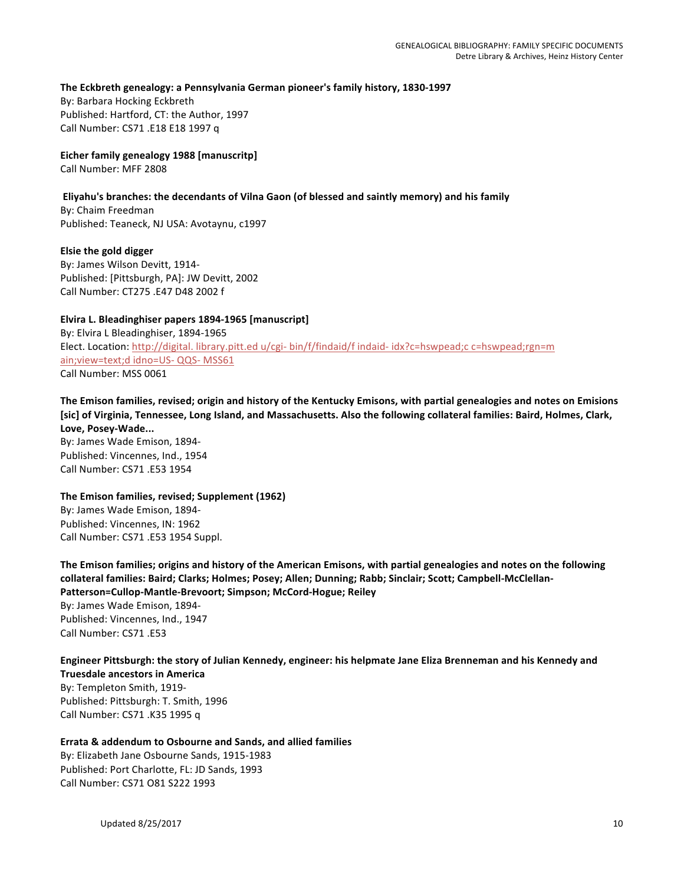The Eckbreth genealogy: a Pennsylvania German pioneer's family history, 1830-1997

By: Barbara Hocking Eckbreth Published: Hartford, CT: the Author, 1997 Call Number: CS71 .E18 E18 1997 q

**Eicher family genealogy 1988 [manuscritp]** Call Number: MFF 2808

#### Eliyahu's branches: the decendants of Vilna Gaon (of blessed and saintly memory) and his family

By: Chaim Freedman Published: Teaneck, NJ USA: Avotaynu, c1997

**Elsie the gold digger** By: James Wilson Devitt, 1914-Published: [Pittsburgh, PA]: JW Devitt, 2002 Call Number: CT275 .E47 D48 2002 f

Elvira L. Bleadinghiser papers 1894-1965 [manuscript] By: Elvira L Bleadinghiser, 1894-1965 Elect. Location: http://digital. library.pitt.ed u/cgi- bin/f/findaid/f indaid- idx?c=hswpead;c c=hswpead;rgn=m ain; view=text;d idno=US- QQS- MSS61 Call Number: MSS 0061

The Emison families, revised; origin and history of the Kentucky Emisons, with partial genealogies and notes on Emisions [sic] of Virginia, Tennessee, Long Island, and Massachusetts. Also the following collateral families: Baird, Holmes, Clark, Love, Posey-Wade...

By: James Wade Emison, 1894-Published: Vincennes, Ind., 1954 Call Number: CS71 .E53 1954

The Emison families, revised; Supplement (1962) By: James Wade Emison, 1894-Published: Vincennes, IN: 1962 Call Number: CS71 .E53 1954 Suppl.

The Emison families; origins and history of the American Emisons, with partial genealogies and notes on the following collateral families: Baird; Clarks; Holmes; Posey; Allen; Dunning; Rabb; Sinclair; Scott; Campbell-McClellan-Patterson=Cullop-Mantle-Brevoort; Simpson; McCord-Hogue; Reiley By: James Wade Emison, 1894-Published: Vincennes, Ind., 1947 Call Number: CS71 .E53

Engineer Pittsburgh: the story of Julian Kennedy, engineer: his helpmate Jane Eliza Brenneman and his Kennedy and **Truesdale ancestors in America** 

By: Templeton Smith, 1919-Published: Pittsburgh: T. Smith, 1996 Call Number: CS71 .K35 1995 q

**Errata & addendum to Osbourne and Sands, and allied families** By: Elizabeth Jane Osbourne Sands, 1915-1983 Published: Port Charlotte, FL: JD Sands, 1993 Call Number: CS71 O81 S222 1993

Updated  $8/25/2017$  and  $10$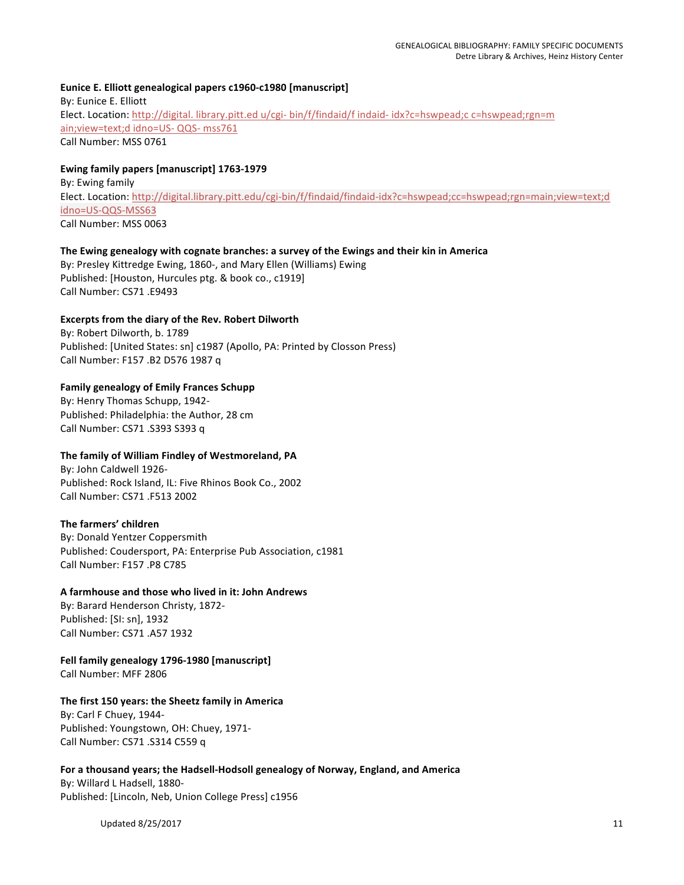# Eunice E. Elliott genealogical papers c1960-c1980 [manuscript] By: Eunice E. Elliott Elect. Location: http://digital. library.pitt.ed u/cgi- bin/f/findaid/f indaid- idx?c=hswpead;c c=hswpead;rgn=m ain; view=text;d idno=US- QQS- mss761 Call Number: MSS 0761

## **Ewing family papers [manuscript] 1763-1979**

By: Ewing family Elect. Location: http://digital.library.pitt.edu/cgi-bin/f/findaid/findaid-idx?c=hswpead;cc=hswpead;rgn=main;view=text;d idno=US-QQS-MSS63 Call Number: MSS 0063

#### The Ewing genealogy with cognate branches: a survey of the Ewings and their kin in America

By: Presley Kittredge Ewing, 1860-, and Mary Ellen (Williams) Ewing Published: [Houston, Hurcules ptg. & book co., c1919] Call Number: CS71 .E9493

## **Excerpts from the diary of the Rev. Robert Dilworth**

By: Robert Dilworth, b. 1789 Published: [United States: sn] c1987 (Apollo, PA: Printed by Closson Press) Call Number: F157 .B2 D576 1987 q

## **Family genealogy of Emily Frances Schupp**

By: Henry Thomas Schupp, 1942-Published: Philadelphia: the Author, 28 cm Call Number: CS71 .S393 S393 q

## The family of William Findley of Westmoreland, PA

By: John Caldwell 1926-Published: Rock Island, IL: Five Rhinos Book Co., 2002 Call Number: CS71 .F513 2002

## The farmers' children

By: Donald Yentzer Coppersmith Published: Coudersport, PA: Enterprise Pub Association, c1981 Call Number: F157 .P8 C785

## **A farmhouse and those who lived in it: John Andrews**

By: Barard Henderson Christy, 1872-Published: [SI: sn], 1932 Call Number: CS71 .A57 1932

# Fell family genealogy 1796-1980 [manuscript]

Call Number: MFF 2806

# The first 150 years: the Sheetz family in America

By: Carl F Chuey, 1944-Published: Youngstown, OH: Chuey, 1971-Call Number: CS71 .S314 C559 q

## For a thousand years; the Hadsell-Hodsoll genealogy of Norway, England, and America

By: Willard L Hadsell, 1880-Published: [Lincoln, Neb, Union College Press] c1956

Updated  $8/25/2017$  and  $11$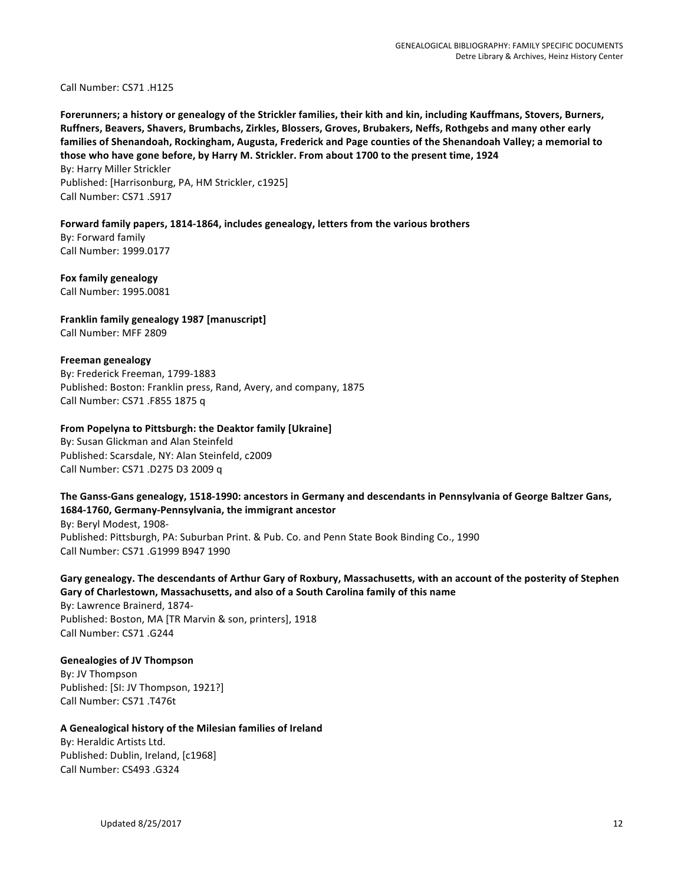Call Number: CS71 .H125

Forerunners; a history or genealogy of the Strickler families, their kith and kin, including Kauffmans, Stovers, Burners, Ruffners, Beavers, Shavers, Brumbachs, Zirkles, Blossers, Groves, Brubakers, Neffs, Rothgebs and many other early families of Shenandoah, Rockingham, Augusta, Frederick and Page counties of the Shenandoah Valley; a memorial to those who have gone before, by Harry M. Strickler. From about 1700 to the present time, 1924

By: Harry Miller Strickler Published: [Harrisonburg, PA, HM Strickler, c1925] Call Number: CS71 .S917

Forward family papers, 1814-1864, includes genealogy, letters from the various brothers

By: Forward family Call Number: 1999.0177

**Fox family genealogy** Call Number: 1995.0081

**Franklin family genealogy 1987 [manuscript]** Call Number: MFF 2809

#### **Freeman genealogy**

By: Frederick Freeman, 1799-1883 Published: Boston: Franklin press, Rand, Avery, and company, 1875 Call Number: CS71 .F855 1875 q

#### **From Popelyna to Pittsburgh: the Deaktor family [Ukraine]**

By: Susan Glickman and Alan Steinfeld Published: Scarsdale, NY: Alan Steinfeld, c2009 Call Number: CS71 .D275 D3 2009 q

## The Ganss-Gans genealogy, 1518-1990: ancestors in Germany and descendants in Pennsylvania of George Baltzer Gans, 1684-1760, Germany-Pennsylvania, the immigrant ancestor

By: Beryl Modest, 1908-Published: Pittsburgh, PA: Suburban Print. & Pub. Co. and Penn State Book Binding Co., 1990 Call Number: CS71 .G1999 B947 1990

# Gary genealogy. The descendants of Arthur Gary of Roxbury, Massachusetts, with an account of the posterity of Stephen Gary of Charlestown, Massachusetts, and also of a South Carolina family of this name

By: Lawrence Brainerd, 1874-Published: Boston, MA [TR Marvin & son, printers], 1918 Call Number: CS71 .G244

#### **Genealogies of JV Thompson**

By: JV Thompson Published: [SI: JV Thompson, 1921?] Call Number: CS71 .T476t

#### **A Genealogical history of the Milesian families of Ireland**

By: Heraldic Artists Ltd. Published: Dublin, Ireland, [c1968] Call Number: CS493 .G324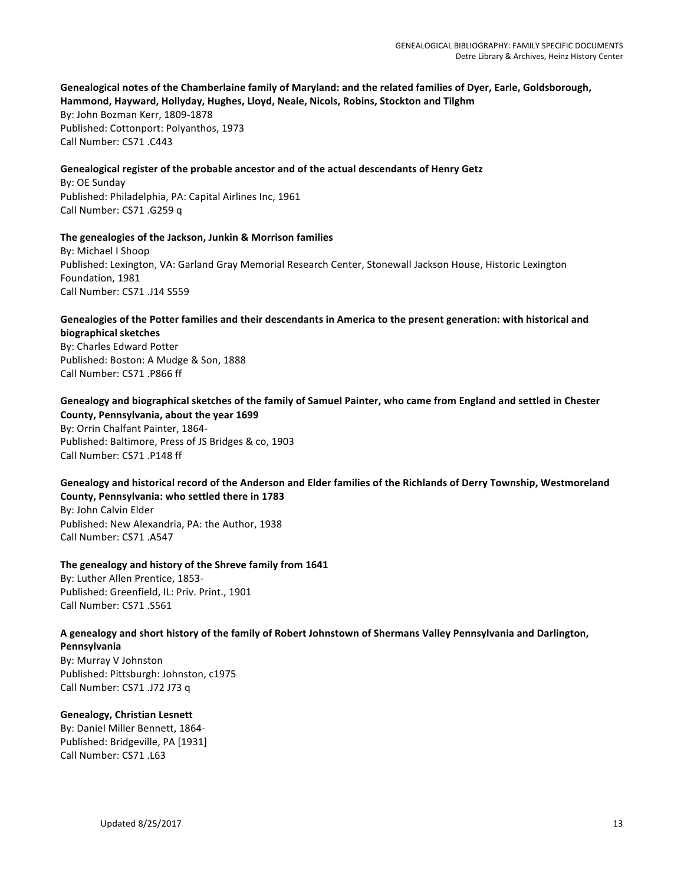## Genealogical notes of the Chamberlaine family of Maryland: and the related families of Dyer, Earle, Goldsborough, Hammond, Hayward, Hollyday, Hughes, Lloyd, Neale, Nicols, Robins, Stockton and Tilghm

By: John Bozman Kerr, 1809-1878 Published: Cottonport: Polyanthos, 1973 Call Number: CS71 .C443

#### Genealogical register of the probable ancestor and of the actual descendants of Henry Getz

By: OE Sunday Published: Philadelphia, PA: Capital Airlines Inc, 1961 Call Number: CS71 .G259 q

#### The genealogies of the Jackson, Junkin & Morrison families

By: Michael I Shoop Published: Lexington, VA: Garland Gray Memorial Research Center, Stonewall Jackson House, Historic Lexington Foundation, 1981 Call Number: CS71 .J14 S559

# Genealogies of the Potter families and their descendants in America to the present generation: with historical and **biographical sketches**

By: Charles Edward Potter Published: Boston: A Mudge & Son, 1888 Call Number: CS71 .P866 ff

## Genealogy and biographical sketches of the family of Samuel Painter, who came from England and settled in Chester County, Pennsylvania, about the year 1699

By: Orrin Chalfant Painter, 1864-Published: Baltimore, Press of JS Bridges & co, 1903 Call Number: CS71 .P148 ff

# Genealogy and historical record of the Anderson and Elder families of the Richlands of Derry Township, Westmoreland **County, Pennsylvania: who settled there in 1783**

By: John Calvin Elder Published: New Alexandria, PA: the Author, 1938 Call Number: CS71 .A547

## The genealogy and history of the Shreve family from 1641

By: Luther Allen Prentice, 1853-Published: Greenfield, IL: Priv. Print., 1901 Call Number: CS71 .S561

# A genealogy and short history of the family of Robert Johnstown of Shermans Valley Pennsylvania and Darlington,

**Pennsylvania** By: Murray V Johnston Published: Pittsburgh: Johnston, c1975 Call Number: CS71 .J72 J73 q

## **Genealogy, Christian Lesnett**

By: Daniel Miller Bennett, 1864-Published: Bridgeville, PA [1931] Call Number: CS71 .L63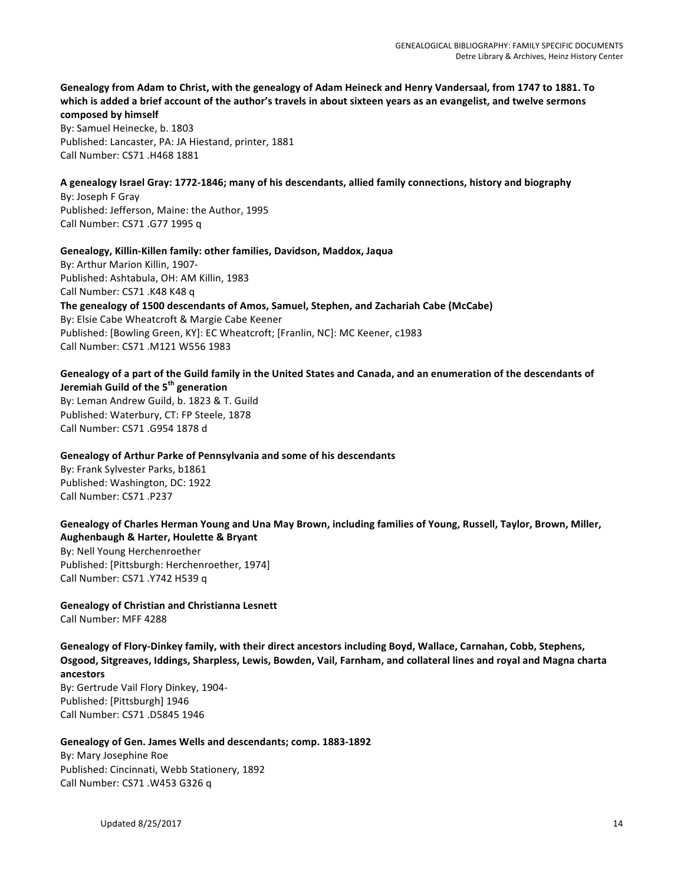# Genealogy from Adam to Christ, with the genealogy of Adam Heineck and Henry Vandersaal, from 1747 to 1881. To which is added a brief account of the author's travels in about sixteen years as an evangelist, and twelve sermons **composed by himself**

By: Samuel Heinecke, b. 1803 Published: Lancaster, PA: JA Hiestand, printer, 1881 Call Number: CS71 .H468 1881

#### A genealogy Israel Gray: 1772-1846; many of his descendants, allied family connections, history and biography

By: Joseph F Gray Published: Jefferson, Maine: the Author, 1995 Call Number: CS71 .G77 1995 q

#### Genealogy, Killin-Killen family: other families, Davidson, Maddox, Jaqua

By: Arthur Marion Killin, 1907-Published: Ashtabula, OH: AM Killin, 1983 Call Number: CS71 .K48 K48 q The genealogy of 1500 descendants of Amos, Samuel, Stephen, and Zachariah Cabe (McCabe) By: Elsie Cabe Wheatcroft & Margie Cabe Keener Published: [Bowling Green, KY]: EC Wheatcroft; [Franlin, NC]: MC Keener, c1983 Call Number: CS71 .M121 W556 1983

# Genealogy of a part of the Guild family in the United States and Canada, and an enumeration of the descendants of **Jeremiah Guild of the 5th generation** By: Leman Andrew Guild, b. 1823 & T. Guild

Published: Waterbury, CT: FP Steele, 1878 Call Number: CS71 .G954 1878 d

## **Genealogy of Arthur Parke of Pennsylvania and some of his descendants**

By: Frank Sylvester Parks, b1861 Published: Washington, DC: 1922 Call Number: CS71 .P237

# Genealogy of Charles Herman Young and Una May Brown, including families of Young, Russell, Taylor, Brown, Miller, **Aughenbaugh & Harter, Houlette & Bryant**

By: Nell Young Herchenroether Published: [Pittsburgh: Herchenroether, 1974] Call Number: CS71 .Y742 H539 q

**Genealogy of Christian and Christianna Lesnett** Call Number: MFF 4288

Genealogy of Flory-Dinkey family, with their direct ancestors including Boyd, Wallace, Carnahan, Cobb, Stephens, Osgood, Sitgreaves, Iddings, Sharpless, Lewis, Bowden, Vail, Farnham, and collateral lines and royal and Magna charta **ancestors**

By: Gertrude Vail Flory Dinkey, 1904-Published: [Pittsburgh] 1946 Call Number: CS71 .D5845 1946

# Genealogy of Gen. James Wells and descendants; comp. 1883-1892

By: Mary Josephine Roe Published: Cincinnati, Webb Stationery, 1892 Call Number: CS71 .W453 G326 q

Updated  $8/25/2017$  and  $14$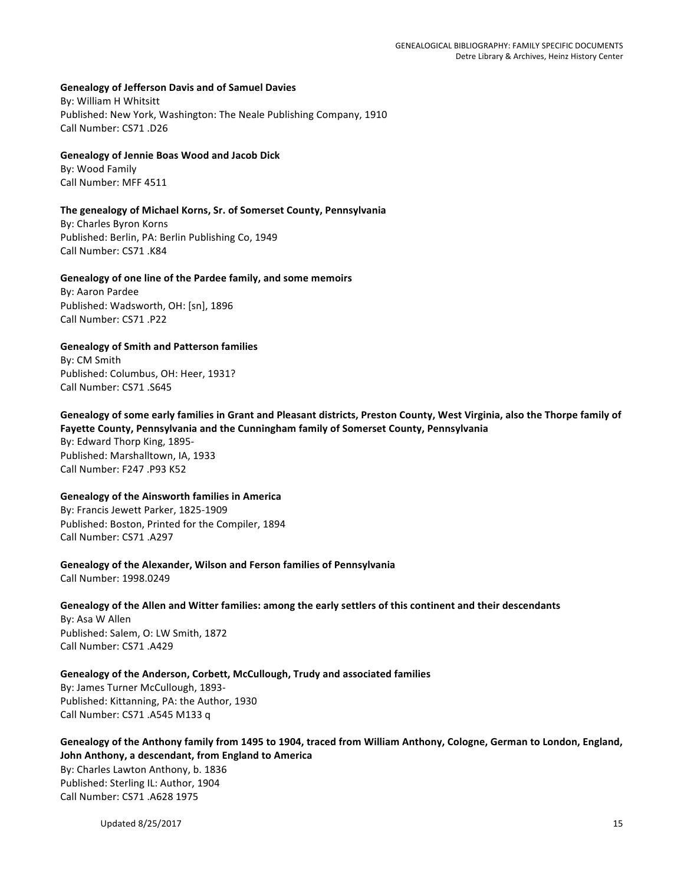#### **Genealogy of Jefferson Davis and of Samuel Davies**

By: William H Whitsitt Published: New York, Washington: The Neale Publishing Company, 1910 Call Number: CS71 .D26

#### **Genealogy of Jennie Boas Wood and Jacob Dick**

By: Wood Family Call Number: MFF 4511

#### The genealogy of Michael Korns, Sr. of Somerset County, Pennsylvania

By: Charles Byron Korns Published: Berlin, PA: Berlin Publishing Co, 1949 Call Number: CS71 .K84

#### Genealogy of one line of the Pardee family, and some memoirs

By: Aaron Pardee Published: Wadsworth, OH: [sn], 1896 Call Number: CS71 .P22

#### **Genealogy of Smith and Patterson families**

By: CM Smith Published: Columbus, OH: Heer, 1931? Call Number: CS71 .S645

## Genealogy of some early families in Grant and Pleasant districts, Preston County, West Virginia, also the Thorpe family of Fayette County, Pennsylvania and the Cunningham family of Somerset County, Pennsylvania

By: Edward Thorp King, 1895-Published: Marshalltown, IA, 1933 Call Number: F247 .P93 K52

#### **Genealogy of the Ainsworth families in America**

By: Francis Jewett Parker, 1825-1909 Published: Boston, Printed for the Compiler, 1894 Call Number: CS71 .A297

**Genealogy of the Alexander, Wilson and Ferson families of Pennsylvania** Call Number: 1998.0249

## Genealogy of the Allen and Witter families: among the early settlers of this continent and their descendants

By: Asa W Allen Published: Salem, O: LW Smith, 1872 Call Number: CS71 .A429

## Genealogy of the Anderson, Corbett, McCullough, Trudy and associated families

By: James Turner McCullough, 1893-Published: Kittanning, PA: the Author, 1930 Call Number: CS71 .A545 M133 q

Genealogy of the Anthony family from 1495 to 1904, traced from William Anthony, Cologne, German to London, England, John Anthony, a descendant, from England to America By: Charles Lawton Anthony, b. 1836 Published: Sterling IL: Author, 1904 Call Number: CS71 .A628 1975

Updated  $8/25/2017$  and  $15$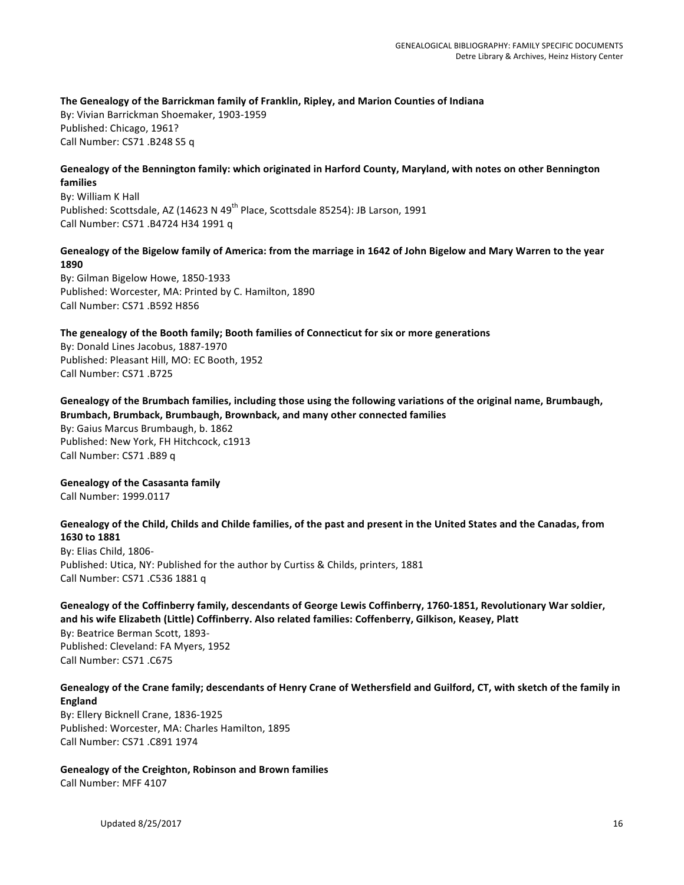The Genealogy of the Barrickman family of Franklin, Ripley, and Marion Counties of Indiana By: Vivian Barrickman Shoemaker, 1903-1959 Published: Chicago, 1961? Call Number: CS71 .B248 S5 q

#### Genealogy of the Bennington family: which originated in Harford County, Maryland, with notes on other Bennington **families**

By: William K Hall Published: Scottsdale, AZ (14623 N 49<sup>th</sup> Place, Scottsdale 85254): JB Larson, 1991 Call Number: CS71 .B4724 H34 1991 q

#### Genealogy of the Bigelow family of America: from the marriage in 1642 of John Bigelow and Mary Warren to the year **1890**

By: Gilman Bigelow Howe, 1850-1933 Published: Worcester, MA: Printed by C. Hamilton, 1890 Call Number: CS71 .B592 H856

The genealogy of the Booth family; Booth families of Connecticut for six or more generations

By: Donald Lines Jacobus, 1887-1970 Published: Pleasant Hill, MO: EC Booth, 1952 Call Number: CS71 .B725

## Genealogy of the Brumbach families, including those using the following variations of the original name, Brumbaugh, Brumbach, Brumback, Brumbaugh, Brownback, and many other connected families

By: Gaius Marcus Brumbaugh, b. 1862 Published: New York, FH Hitchcock, c1913 Call Number: CS71 .B89 q

**Genealogy of the Casasanta family** 

Call Number: 1999.0117

## Genealogy of the Child, Childs and Childe families, of the past and present in the United States and the Canadas, from **1630 to 1881**

By: Elias Child, 1806-Published: Utica, NY: Published for the author by Curtiss & Childs, printers, 1881 Call Number: CS71 .C536 1881 q

## Genealogy of the Coffinberry family, descendants of George Lewis Coffinberry, 1760-1851, Revolutionary War soldier, and his wife Elizabeth (Little) Coffinberry. Also related families: Coffenberry, Gilkison, Keasey, Platt

By: Beatrice Berman Scott, 1893-Published: Cleveland: FA Myers, 1952 Call Number: CS71 .C675

## Genealogy of the Crane family; descendants of Henry Crane of Wethersfield and Guilford, CT, with sketch of the family in **England**

By: Ellery Bicknell Crane, 1836-1925 Published: Worcester, MA: Charles Hamilton, 1895 Call Number: CS71 .C891 1974

**Genealogy of the Creighton, Robinson and Brown families** Call Number: MFF 4107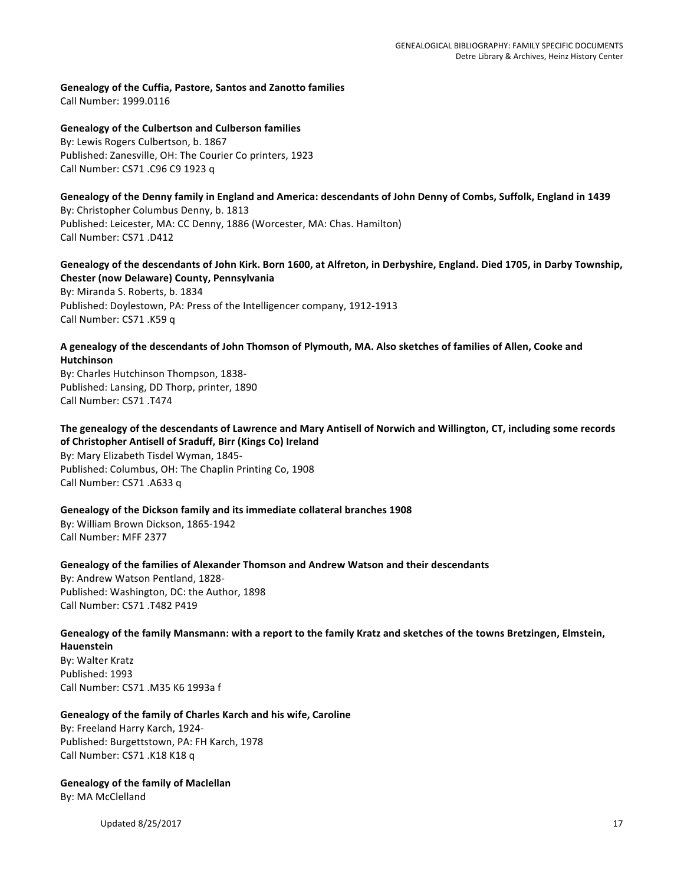Genealogy of the Cuffia, Pastore, Santos and Zanotto families Call Number: 1999.0116

**Genealogy of the Culbertson and Culberson families** By: Lewis Rogers Culbertson, b. 1867 Published: Zanesville, OH: The Courier Co printers, 1923 Call Number: CS71 .C96 C9 1923 q

Genealogy of the Denny family in England and America: descendants of John Denny of Combs, Suffolk, England in 1439 By: Christopher Columbus Denny, b. 1813 Published: Leicester, MA: CC Denny, 1886 (Worcester, MA: Chas. Hamilton) Call Number: CS71 .D412

Genealogy of the descendants of John Kirk. Born 1600, at Alfreton, in Derbyshire, England. Died 1705, in Darby Township, **Chester (now Delaware) County, Pennsylvania** 

By: Miranda S. Roberts, b. 1834 Published: Doylestown, PA: Press of the Intelligencer company, 1912-1913 Call Number: CS71 .K59 q

#### A genealogy of the descendants of John Thomson of Plymouth, MA. Also sketches of families of Allen, Cooke and **Hutchinson**

By: Charles Hutchinson Thompson, 1838-Published: Lansing, DD Thorp, printer, 1890 Call Number: CS71 .T474

The genealogy of the descendants of Lawrence and Mary Antisell of Norwich and Willington, CT, including some records of Christopher Antisell of Sraduff, Birr (Kings Co) Ireland By: Mary Elizabeth Tisdel Wyman, 1845-Published: Columbus, OH: The Chaplin Printing Co, 1908 Call Number: CS71 .A633 q

Genealogy of the Dickson family and its immediate collateral branches 1908

By: William Brown Dickson, 1865-1942 Call Number: MFF 2377

Genealogy of the families of Alexander Thomson and Andrew Watson and their descendants

By: Andrew Watson Pentland, 1828-Published: Washington, DC: the Author, 1898 Call Number: CS71 .T482 P419

# Genealogy of the family Mansmann: with a report to the family Kratz and sketches of the towns Bretzingen, Elmstein,

**Hauenstein** By: Walter Kratz Published: 1993 Call Number: CS71 .M35 K6 1993a f

## Genealogy of the family of Charles Karch and his wife, Caroline

By: Freeland Harry Karch, 1924-Published: Burgettstown, PA: FH Karch, 1978 Call Number: CS71 .K18 K18 q

**Genealogy of the family of Maclellan** By: MA McClelland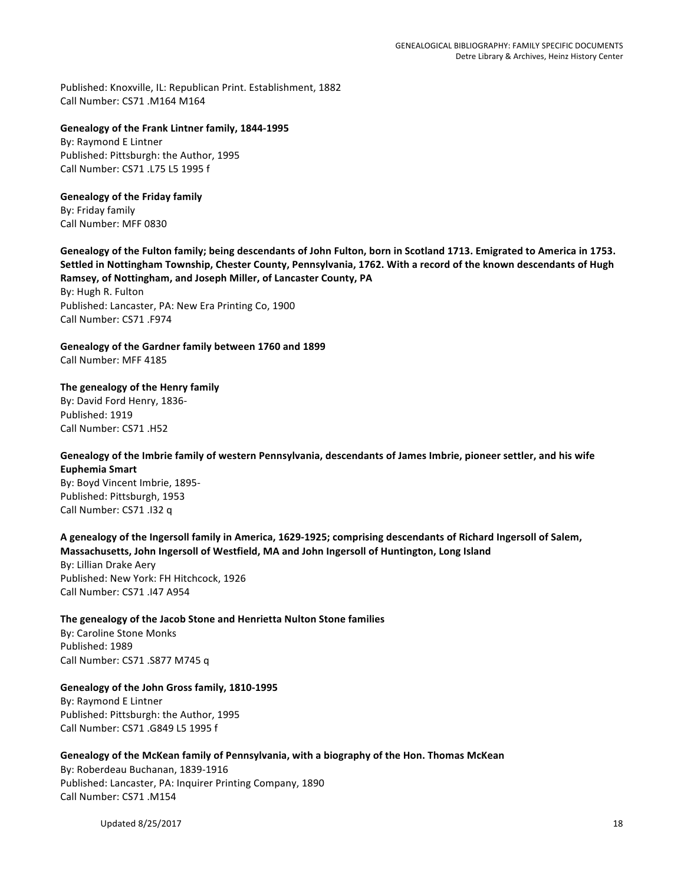Published: Knoxville, IL: Republican Print. Establishment, 1882 Call Number: CS71 .M164 M164

#### Genealogy of the Frank Lintner family, 1844-1995

By: Raymond E Lintner Published: Pittsburgh: the Author, 1995 Call Number: CS71 .L75 L5 1995 f

# **Genealogy of the Friday family**

By: Friday family Call Number: MFF 0830

Genealogy of the Fulton family; being descendants of John Fulton, born in Scotland 1713. Emigrated to America in 1753. Settled in Nottingham Township, Chester County, Pennsylvania, 1762. With a record of the known descendants of Hugh Ramsey, of Nottingham, and Joseph Miller, of Lancaster County, PA

By: Hugh R. Fulton Published: Lancaster, PA: New Era Printing Co, 1900 Call Number: CS71 .F974

Genealogy of the Gardner family between 1760 and 1899 Call Number: MFF 4185

#### The genealogy of the Henry family

By: David Ford Henry, 1836-Published: 1919 Call Number: CS71 .H52

## Genealogy of the Imbrie family of western Pennsylvania, descendants of James Imbrie, pioneer settler, and his wife **Euphemia Smart**

By: Boyd Vincent Imbrie, 1895-Published: Pittsburgh, 1953 Call Number: CS71 .I32 q

A genealogy of the Ingersoll family in America, 1629-1925; comprising descendants of Richard Ingersoll of Salem, Massachusetts, John Ingersoll of Westfield, MA and John Ingersoll of Huntington, Long Island

By: Lillian Drake Aery Published: New York: FH Hitchcock, 1926 Call Number: CS71 .I47 A954

#### The genealogy of the Jacob Stone and Henrietta Nulton Stone families

By: Caroline Stone Monks Published: 1989 Call Number: CS71 .S877 M745 q

## Genealogy of the John Gross family, 1810-1995

By: Raymond E Lintner Published: Pittsburgh: the Author, 1995 Call Number: CS71 .G849 L5 1995 f

#### Genealogy of the McKean family of Pennsylvania, with a biography of the Hon. Thomas McKean

By: Roberdeau Buchanan, 1839-1916 Published: Lancaster, PA: Inquirer Printing Company, 1890 Call Number: CS71 .M154

Updated  $8/25/2017$  and  $18$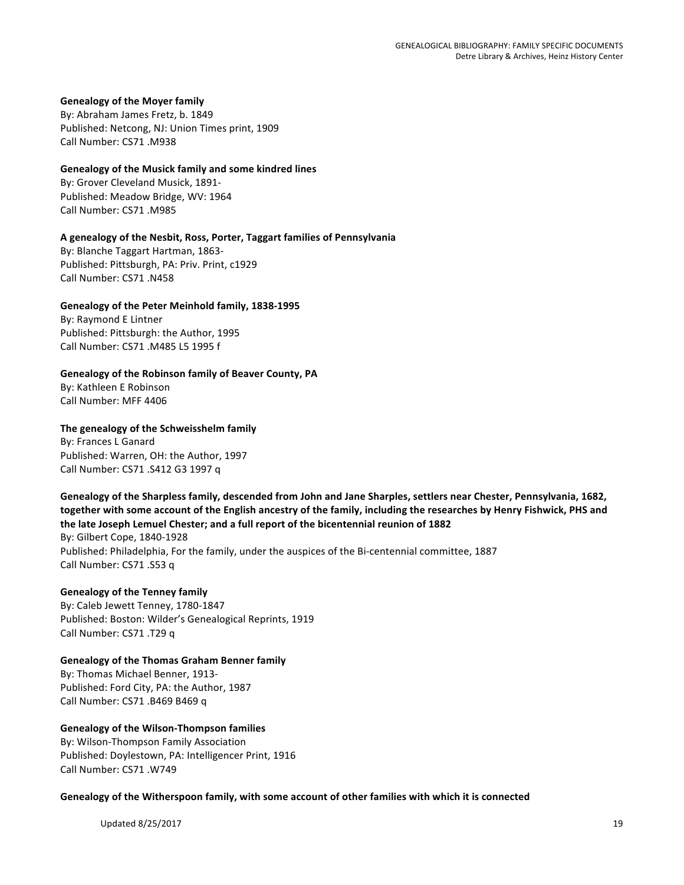#### **Genealogy of the Moyer family**

By: Abraham James Fretz, b. 1849 Published: Netcong, NJ: Union Times print, 1909 Call Number: CS71 .M938

#### **Genealogy of the Musick family and some kindred lines**

By: Grover Cleveland Musick, 1891-Published: Meadow Bridge, WV: 1964 Call Number: CS71 .M985

#### **A genealogy of the Nesbit, Ross, Porter, Taggart families of Pennsylvania**

By: Blanche Taggart Hartman, 1863-Published: Pittsburgh, PA: Priv. Print, c1929 Call Number: CS71 .N458

#### Genealogy of the Peter Meinhold family, 1838-1995

By: Raymond E Lintner Published: Pittsburgh: the Author, 1995 Call Number: CS71 .M485 L5 1995 f

#### Genealogy of the Robinson family of Beaver County, PA

By: Kathleen E Robinson Call Number: MFF 4406

#### The genealogy of the Schweisshelm family

By: Frances L Ganard Published: Warren, OH: the Author, 1997 Call Number: CS71 .S412 G3 1997 q

## Genealogy of the Sharpless family, descended from John and Jane Sharples, settlers near Chester, Pennsylvania, 1682, together with some account of the English ancestry of the family, including the researches by Henry Fishwick, PHS and the late Joseph Lemuel Chester; and a full report of the bicentennial reunion of 1882 By: Gilbert Cope, 1840-1928 Published: Philadelphia, For the family, under the auspices of the Bi-centennial committee, 1887

**Genealogy of the Tenney family**

Call Number: CS71 .S53 q

# By: Caleb Jewett Tenney, 1780-1847 Published: Boston: Wilder's Genealogical Reprints, 1919 Call Number: CS71 .T29 q

#### Genealogy of the Thomas Graham Benner family By: Thomas Michael Benner, 1913-

Published: Ford City, PA: the Author, 1987 Call Number: CS71 .B469 B469 q

## **Genealogy of the Wilson-Thompson families**

By: Wilson-Thompson Family Association Published: Doylestown, PA: Intelligencer Print, 1916 Call Number: CS71 .W749

Genealogy of the Witherspoon family, with some account of other families with which it is connected

Updated  $8/25/2017$  and  $19$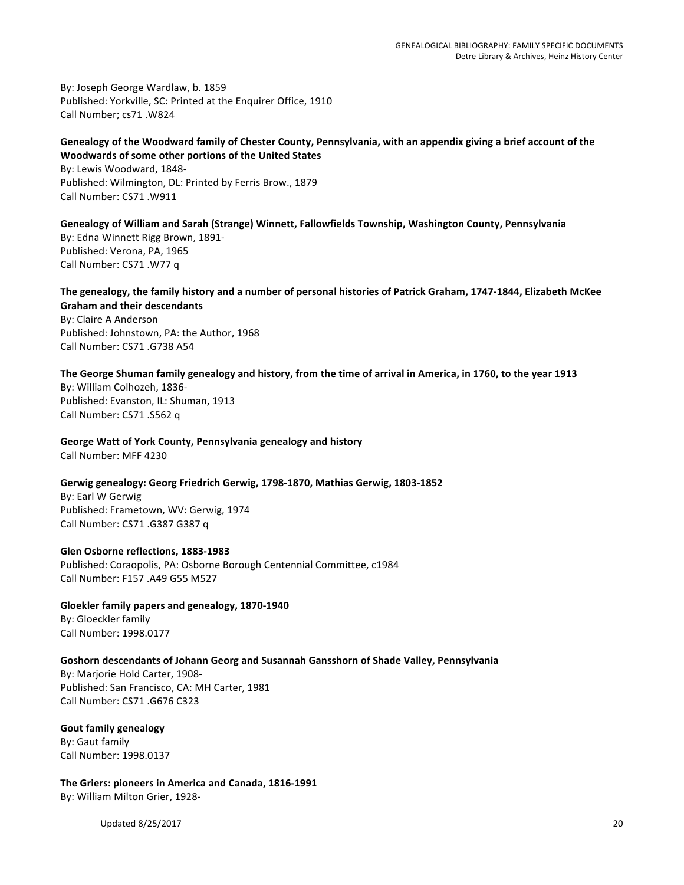By: Joseph George Wardlaw, b. 1859 Published: Yorkville, SC: Printed at the Enquirer Office, 1910 Call Number; cs71 .W824

## Genealogy of the Woodward family of Chester County, Pennsylvania, with an appendix giving a brief account of the **Woodwards of some other portions of the United States**

By: Lewis Woodward, 1848-Published: Wilmington, DL: Printed by Ferris Brow., 1879 Call Number: CS71 .W911

Genealogy of William and Sarah (Strange) Winnett, Fallowfields Township, Washington County, Pennsylvania By: Edna Winnett Rigg Brown, 1891-Published: Verona, PA, 1965 Call Number: CS71 .W77 q

The genealogy, the family history and a number of personal histories of Patrick Graham, 1747-1844, Elizabeth McKee **Graham and their descendants** By: Claire A Anderson

Published: Johnstown, PA: the Author, 1968 Call Number: CS71 .G738 A54

The George Shuman family genealogy and history, from the time of arrival in America, in 1760, to the year 1913

By: William Colhozeh, 1836-Published: Evanston, IL: Shuman, 1913 Call Number: CS71 .S562 q

**George Watt of York County, Pennsylvania genealogy and history** Call Number: MFF 4230

Gerwig genealogy: Georg Friedrich Gerwig, 1798-1870, Mathias Gerwig, 1803-1852

By: Earl W Gerwig Published: Frametown, WV: Gerwig, 1974 Call Number: CS71 .G387 G387 q

**Glen Osborne reflections, 1883-1983** Published: Coraopolis, PA: Osborne Borough Centennial Committee, c1984 Call Number: F157 .A49 G55 M527

Gloekler family papers and genealogy, 1870-1940 By: Gloeckler family Call Number: 1998.0177

## Goshorn descendants of Johann Georg and Susannah Gansshorn of Shade Valley, Pennsylvania

By: Marjorie Hold Carter, 1908-Published: San Francisco, CA: MH Carter, 1981 Call Number: CS71 .G676 C323

**Gout family genealogy** By: Gaut family Call Number: 1998.0137

The Griers: pioneers in America and Canada, 1816-1991 By: William Milton Grier, 1928-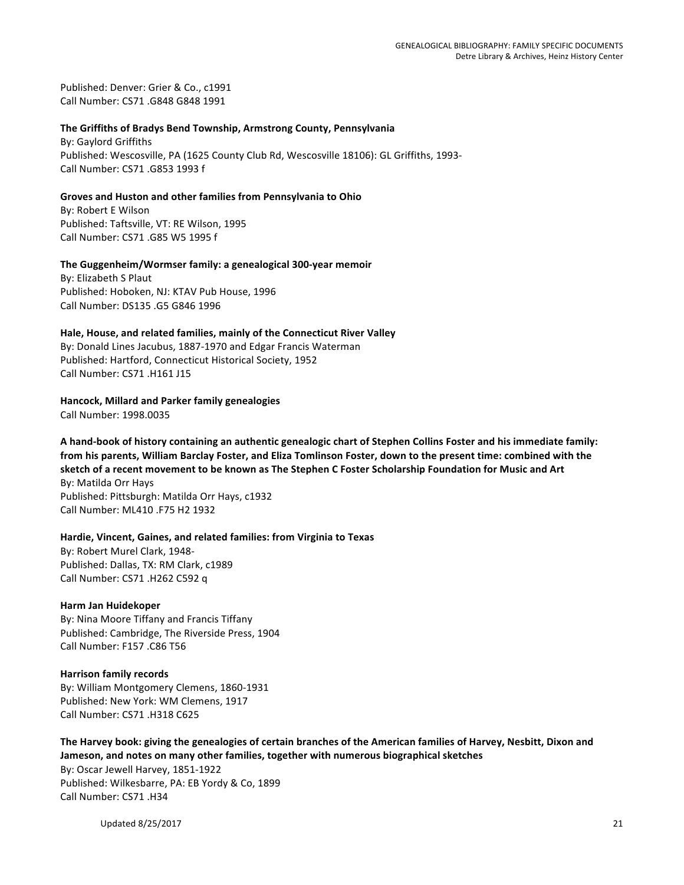Published: Denver: Grier & Co., c1991 Call Number: CS71 .G848 G848 1991

#### **The Griffiths of Bradys Bend Township, Armstrong County, Pennsylvania**

By: Gaylord Griffiths Published: Wescosville, PA (1625 County Club Rd, Wescosville 18106): GL Griffiths, 1993-Call Number: CS71 .G853 1993 f

#### Groves and Huston and other families from Pennsylvania to Ohio

By: Robert E Wilson Published: Taftsville, VT: RE Wilson, 1995 Call Number: CS71 .G85 W5 1995 f

## The Guggenheim/Wormser family: a genealogical 300-year memoir

By: Elizabeth S Plaut Published: Hoboken, NJ: KTAV Pub House, 1996 Call Number: DS135 .G5 G846 1996

#### Hale, House, and related families, mainly of the Connecticut River Valley

By: Donald Lines Jacubus, 1887-1970 and Edgar Francis Waterman Published: Hartford, Connecticut Historical Society, 1952 Call Number: CS71 .H161 J15

#### **Hancock, Millard and Parker family genealogies**

Call Number: 1998.0035

A hand-book of history containing an authentic genealogic chart of Stephen Collins Foster and his immediate family: from his parents, William Barclay Foster, and Eliza Tomlinson Foster, down to the present time: combined with the sketch of a recent movement to be known as The Stephen C Foster Scholarship Foundation for Music and Art By: Matilda Orr Hays

Published: Pittsburgh: Matilda Orr Hays, c1932 Call Number: ML410 .F75 H2 1932

## Hardie, Vincent, Gaines, and related families: from Virginia to Texas

By: Robert Murel Clark, 1948-Published: Dallas, TX: RM Clark, c1989 Call Number: CS71 .H262 C592 q

## **Harm Jan Huidekoper**

By: Nina Moore Tiffany and Francis Tiffany Published: Cambridge, The Riverside Press, 1904 Call Number: F157 .C86 T56

## **Harrison family records**

By: William Montgomery Clemens, 1860-1931 Published: New York: WM Clemens, 1917 Call Number: CS71 .H318 C625

The Harvey book: giving the genealogies of certain branches of the American families of Harvey, Nesbitt, Dixon and Jameson, and notes on many other families, together with numerous biographical sketches By: Oscar Jewell Harvey, 1851-1922 Published: Wilkesbarre, PA: EB Yordy & Co, 1899 Call Number: CS71 .H34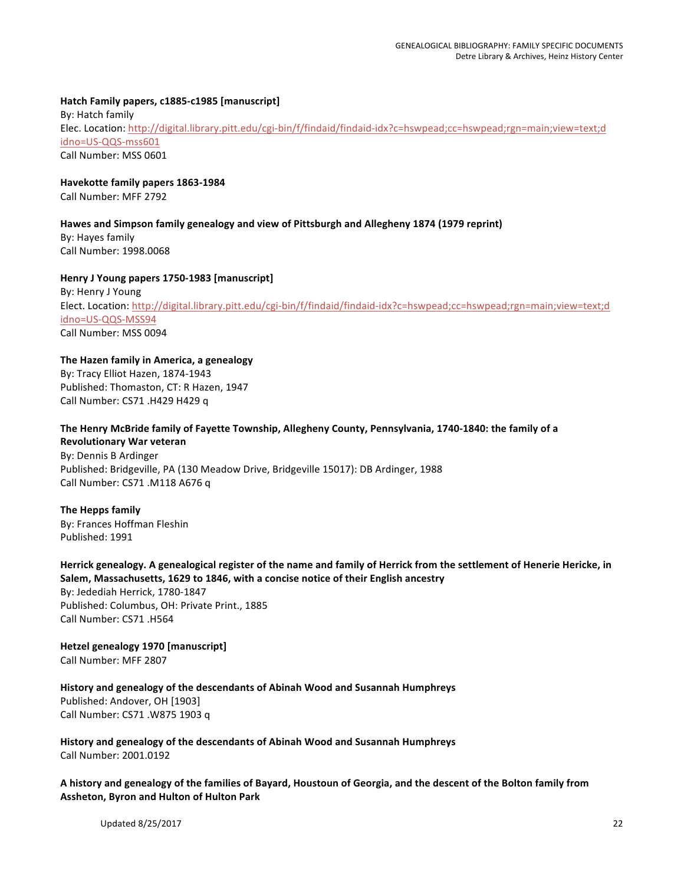# **Hatch Family papers, c1885-c1985 [manuscript]**

By: Hatch family Elec. Location: http://digital.library.pitt.edu/cgi-bin/f/findaid/findaid-idx?c=hswpead;cc=hswpead;rgn=main;view=text;d idno=US-QQS-mss601 Call Number: MSS 0601

#### **Havekotte family papers 1863-1984**

Call Number: MFF 2792

#### Hawes and Simpson family genealogy and view of Pittsburgh and Allegheny 1874 (1979 reprint)

By: Hayes family Call Number: 1998.0068

#### **Henry J Young papers 1750-1983 [manuscript]**

By: Henry J Young Elect. Location: http://digital.library.pitt.edu/cgi-bin/f/findaid/findaid-idx?c=hswpead;cc=hswpead;rgn=main;view=text;d idno=US-QQS-MSS94 Call Number: MSS 0094

#### The Hazen family in America, a genealogy

By: Tracy Elliot Hazen, 1874-1943 Published: Thomaston, CT: R Hazen, 1947 Call Number: CS71 .H429 H429 q

## The Henry McBride family of Fayette Township, Allegheny County, Pennsylvania, 1740-1840: the family of a **Revolutionary War veteran**

By: Dennis B Ardinger Published: Bridgeville, PA (130 Meadow Drive, Bridgeville 15017): DB Ardinger, 1988 Call Number: CS71 .M118 A676 q

#### **The Hepps family**

By: Frances Hoffman Fleshin Published: 1991

#### Herrick genealogy. A genealogical register of the name and family of Herrick from the settlement of Henerie Hericke, in Salem, Massachusetts, 1629 to 1846, with a concise notice of their English ancestry

By: Jedediah Herrick, 1780-1847 Published: Columbus, OH: Private Print., 1885 Call Number: CS71 .H564

#### **Hetzel genealogy 1970 [manuscript]** Call Number: MFF 2807

**History and genealogy of the descendants of Abinah Wood and Susannah Humphreys** 

Published: Andover, OH [1903] Call Number: CS71 .W875 1903 q

**History and genealogy of the descendants of Abinah Wood and Susannah Humphreys** Call Number: 2001.0192

A history and genealogy of the families of Bayard, Houstoun of Georgia, and the descent of the Bolton family from **Assheton, Byron and Hulton of Hulton Park**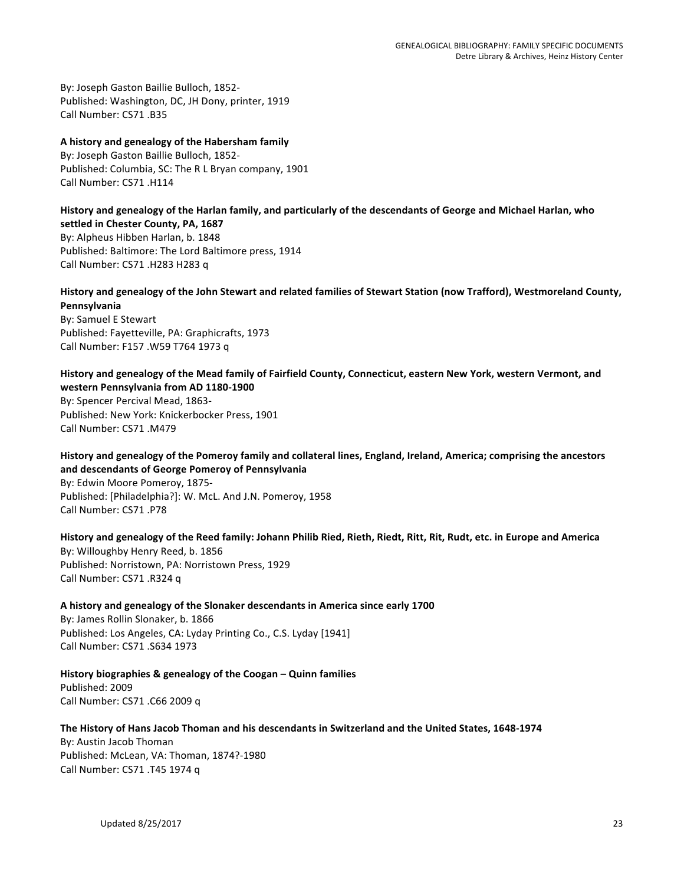By: Joseph Gaston Baillie Bulloch, 1852-Published: Washington, DC, JH Dony, printer, 1919 Call Number: CS71 .B35

#### **A history and genealogy of the Habersham family**

By: Joseph Gaston Baillie Bulloch, 1852-Published: Columbia, SC: The R L Bryan company, 1901 Call Number: CS71 .H114

#### History and genealogy of the Harlan family, and particularly of the descendants of George and Michael Harlan, who settled in Chester County, PA, 1687

By: Alpheus Hibben Harlan, b. 1848 Published: Baltimore: The Lord Baltimore press, 1914 Call Number: CS71 .H283 H283 q

# History and genealogy of the John Stewart and related families of Stewart Station (now Trafford), Westmoreland County, **Pennsylvania**

By: Samuel E Stewart Published: Fayetteville, PA: Graphicrafts, 1973 Call Number: F157 .W59 T764 1973 q

History and genealogy of the Mead family of Fairfield County, Connecticut, eastern New York, western Vermont, and **western Pennsylvania from AD 1180-1900** By: Spencer Percival Mead, 1863-Published: New York: Knickerbocker Press, 1901 Call Number: CS71 .M479

History and genealogy of the Pomeroy family and collateral lines, England, Ireland, America; comprising the ancestors **and descendants of George Pomeroy of Pennsylvania**

By: Edwin Moore Pomeroy, 1875-Published: [Philadelphia?]: W. McL. And J.N. Pomeroy, 1958 Call Number: CS71 .P78

History and genealogy of the Reed family: Johann Philib Ried, Rieth, Riedt, Ritt, Rit, Rudt, etc. in Europe and America By: Willoughby Henry Reed, b. 1856 Published: Norristown, PA: Norristown Press, 1929 Call Number: CS71 .R324 q

A history and genealogy of the Slonaker descendants in America since early 1700 By: James Rollin Slonaker, b. 1866 Published: Los Angeles, CA: Lyday Printing Co., C.S. Lyday [1941] Call Number: CS71 .S634 1973

History biographies & genealogy of the Coogan – Quinn families Published: 2009 Call Number: CS71 .C66 2009 q

# **The History of Hans Jacob Thoman and his descendants in Switzerland and the United States, 1648-1974**

By: Austin Jacob Thoman Published: McLean, VA: Thoman, 1874?-1980 Call Number: CS71 .T45 1974 q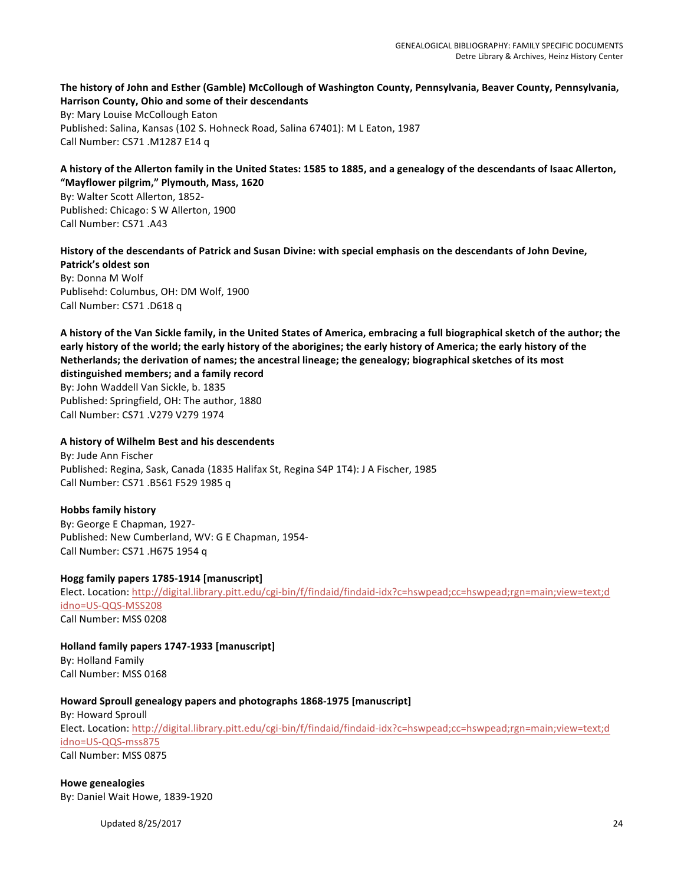#### The history of John and Esther (Gamble) McCollough of Washington County, Pennsylvania, Beaver County, Pennsylvania, Harrison County, Ohio and some of their descendants

By: Mary Louise McCollough Eaton Published: Salina, Kansas (102 S. Hohneck Road, Salina 67401): M L Eaton, 1987 Call Number: CS71 .M1287 E14 q

## A history of the Allerton family in the United States: 1585 to 1885, and a genealogy of the descendants of Isaac Allerton, **"Mayflower pilgrim," Plymouth, Mass, 1620**

By: Walter Scott Allerton, 1852-Published: Chicago: S W Allerton, 1900 Call Number: CS71 .A43

# History of the descendants of Patrick and Susan Divine: with special emphasis on the descendants of John Devine, **Patrick's oldest son**

By: Donna M Wolf Publisehd: Columbus, OH: DM Wolf, 1900 Call Number: CS71 .D618 q

A history of the Van Sickle family, in the United States of America, embracing a full biographical sketch of the author; the early history of the world; the early history of the aborigines; the early history of America; the early history of the Netherlands; the derivation of names; the ancestral lineage; the genealogy; biographical sketches of its most **distinguished members; and a family record**

By: John Waddell Van Sickle, b. 1835 Published: Springfield, OH: The author, 1880 Call Number: CS71 .V279 V279 1974

# **A history of Wilhelm Best and his descendents**

By: Jude Ann Fischer Published: Regina, Sask, Canada (1835 Halifax St, Regina S4P 1T4): J A Fischer, 1985 Call Number: CS71 .B561 F529 1985 q

# **Hobbs family history**

By: George E Chapman, 1927-Published: New Cumberland, WV: G E Chapman, 1954-Call Number: CS71 .H675 1954 q

# **Hogg family papers 1785-1914 [manuscript]**

Elect. Location: http://digital.library.pitt.edu/cgi-bin/f/findaid/findaid-idx?c=hswpead;cc=hswpead;rgn=main;view=text;d idno=US-QQS-MSS208 Call Number: MSS 0208

**Holland family papers 1747-1933 [manuscript]** By: Holland Family Call Number: MSS 0168

# Howard Sproull genealogy papers and photographs 1868-1975 [manuscript]

By: Howard Sproull Elect. Location: http://digital.library.pitt.edu/cgi-bin/f/findaid/findaid-idx?c=hswpead;cc=hswpead;rgn=main;view=text;d idno=US-QQS-mss875 Call Number: MSS 0875

**Howe genealogies** By: Daniel Wait Howe, 1839-1920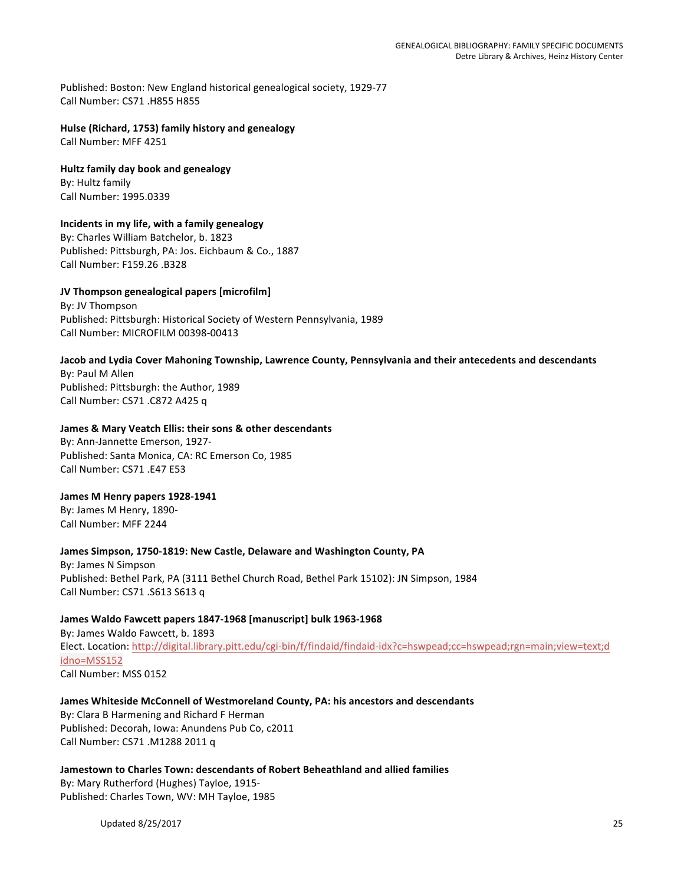Published: Boston: New England historical genealogical society, 1929-77 Call Number: CS71 .H855 H855

**Hulse (Richard, 1753) family history and genealogy** Call Number: MFF 4251

**Hultz family day book and genealogy** By: Hultz family Call Number: 1995.0339

# **Incidents in my life, with a family genealogy**

By: Charles William Batchelor, b. 1823 Published: Pittsburgh, PA: Jos. Eichbaum & Co., 1887 Call Number: F159.26 .B328

# **JV Thompson genealogical papers [microfilm]**

By: JV Thompson Published: Pittsburgh: Historical Society of Western Pennsylvania, 1989 Call Number: MICROFILM 00398-00413

# Jacob and Lydia Cover Mahoning Township, Lawrence County, Pennsylvania and their antecedents and descendants By: Paul M Allen Published: Pittsburgh: the Author, 1989

Call Number: CS71 .C872 A425 q

## James & Mary Veatch Ellis: their sons & other descendants

By: Ann-Jannette Emerson, 1927-Published: Santa Monica, CA: RC Emerson Co, 1985 Call Number: CS71 .E47 E53

## James M Henry papers 1928-1941

By: James M Henry, 1890-Call Number: MFF 2244

## James Simpson, 1750-1819: New Castle, Delaware and Washington County, PA

By: James N Simpson Published: Bethel Park, PA (3111 Bethel Church Road, Bethel Park 15102): JN Simpson, 1984 Call Number: CS71 .S613 S613 q

## James Waldo Fawcett papers 1847-1968 [manuscript] bulk 1963-1968

By: James Waldo Fawcett, b. 1893 Elect. Location: http://digital.library.pitt.edu/cgi-bin/f/findaid/findaid-idx?c=hswpead;cc=hswpead;rgn=main;view=text;d idno=MSS152 Call Number: MSS 0152

## James Whiteside McConnell of Westmoreland County, PA: his ancestors and descendants

By: Clara B Harmening and Richard F Herman Published: Decorah, Iowa: Anundens Pub Co, c2011 Call Number: CS71 .M1288 2011 q

## Jamestown to Charles Town: descendants of Robert Beheathland and allied families

By: Mary Rutherford (Hughes) Tayloe, 1915-Published: Charles Town, WV: MH Tayloe, 1985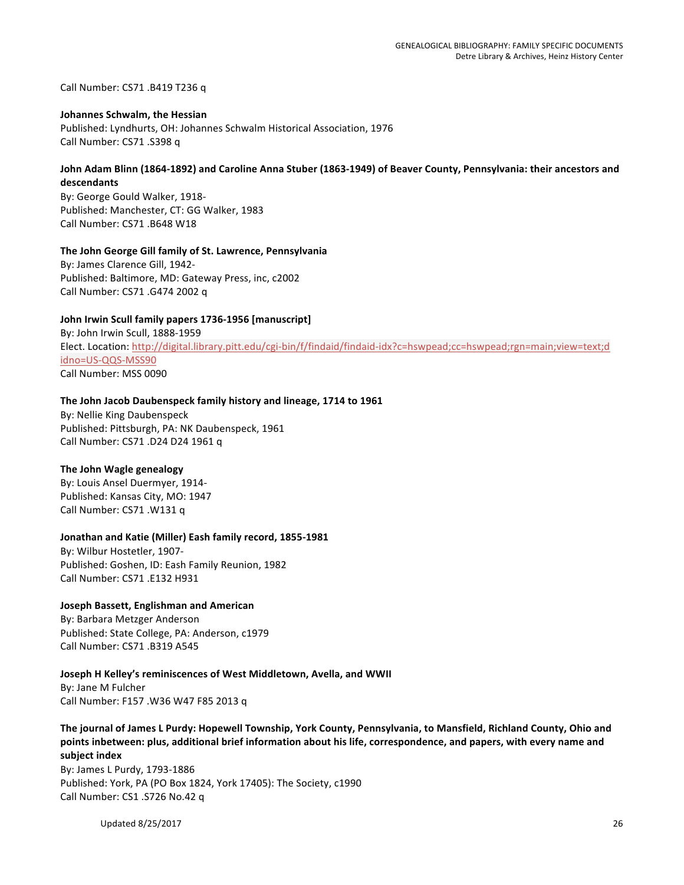Call Number: CS71 .B419 T236 q

#### **Johannes Schwalm, the Hessian**

Published: Lyndhurts, OH: Johannes Schwalm Historical Association, 1976 Call Number: CS71 .S398 q

#### John Adam Blinn (1864-1892) and Caroline Anna Stuber (1863-1949) of Beaver County, Pennsylvania: their ancestors and **descendants**

By: George Gould Walker, 1918-Published: Manchester, CT: GG Walker, 1983 Call Number: CS71 .B648 W18

#### The John George Gill family of St. Lawrence, Pennsylvania

By: James Clarence Gill, 1942-Published: Baltimore, MD: Gateway Press, inc, c2002 Call Number: CS71 .G474 2002 q

#### **John Irwin Scull family papers 1736-1956 [manuscript]**

By: John Irwin Scull, 1888-1959 Elect. Location: http://digital.library.pitt.edu/cgi-bin/f/findaid/findaid-idx?c=hswpead;cc=hswpead;rgn=main;view=text;d idno=US-QQS-MSS90 Call Number: MSS 0090

#### The John Jacob Daubenspeck family history and lineage, 1714 to 1961

By: Nellie King Daubenspeck Published: Pittsburgh, PA: NK Daubenspeck, 1961 Call Number: CS71 .D24 D24 1961 q

#### **The John Wagle genealogy**

By: Louis Ansel Duermyer, 1914-Published: Kansas City, MO: 1947 Call Number: CS71 .W131 q

#### Jonathan and Katie (Miller) Eash family record, 1855-1981

By: Wilbur Hostetler, 1907-Published: Goshen, ID: Eash Family Reunion, 1982 Call Number: CS71 .E132 H931

**Joseph Bassett, Englishman and American** By: Barbara Metzger Anderson Published: State College, PA: Anderson, c1979 Call Number: CS71 .B319 A545

## **Joseph H Kelley's reminiscences of West Middletown, Avella, and WWII**

By: Jane M Fulcher Call Number: F157 .W36 W47 F85 2013 q

The journal of James L Purdy: Hopewell Township, York County, Pennsylvania, to Mansfield, Richland County, Ohio and points inbetween: plus, additional brief information about his life, correspondence, and papers, with every name and **subject index**

By: James L Purdy, 1793-1886 Published: York, PA (PO Box 1824, York 17405): The Society, c1990 Call Number: CS1 .S726 No.42 q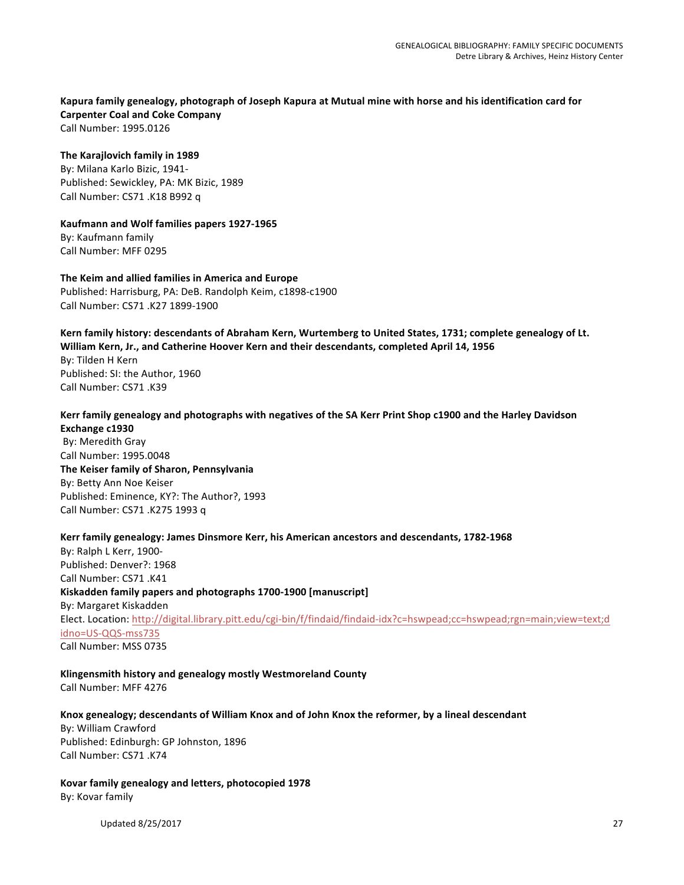#### Kapura family genealogy, photograph of Joseph Kapura at Mutual mine with horse and his identification card for **Carpenter Coal and Coke Company** Call Number: 1995.0126

# **The Karajlovich family in 1989**

By: Milana Karlo Bizic, 1941-Published: Sewickley, PA: MK Bizic, 1989 Call Number: CS71 .K18 B992 q

#### **Kaufmann and Wolf families papers 1927-1965** By: Kaufmann family Call Number: MFF 0295

**The Keim and allied families in America and Europe** Published: Harrisburg, PA: DeB. Randolph Keim, c1898-c1900 Call Number: CS71 .K27 1899-1900

#### Kern family history: descendants of Abraham Kern, Wurtemberg to United States, 1731; complete genealogy of Lt. William Kern, Jr., and Catherine Hoover Kern and their descendants, completed April 14, 1956

By: Tilden H Kern Published: SI: the Author, 1960 Call Number: CS71 .K39

# Kerr family genealogy and photographs with negatives of the SA Kerr Print Shop c1900 and the Harley Davidson **Exchange c1930**

By: Meredith Gray Call Number: 1995.0048 **The Keiser family of Sharon, Pennsylvania** By: Betty Ann Noe Keiser Published: Eminence, KY?: The Author?, 1993 Call Number: CS71 .K275 1993 q

## Kerr family genealogy: James Dinsmore Kerr, his American ancestors and descendants, 1782-1968

By: Ralph L Kerr, 1900-Published: Denver?: 1968 Call Number: CS71 .K41 **Kiskadden family papers and photographs 1700-1900 [manuscript]** By: Margaret Kiskadden Elect. Location: http://digital.library.pitt.edu/cgi-bin/f/findaid/findaid-idx?c=hswpead;cc=hswpead;rgn=main;view=text;d idno=US-QQS-mss735 Call Number: MSS 0735

# **Klingensmith history and genealogy mostly Westmoreland County**

Call Number: MFF 4276

## Knox genealogy; descendants of William Knox and of John Knox the reformer, by a lineal descendant

By: William Crawford Published: Edinburgh: GP Johnston, 1896 Call Number: CS71 .K74

#### Kovar family genealogy and letters, photocopied 1978 By: Kovar family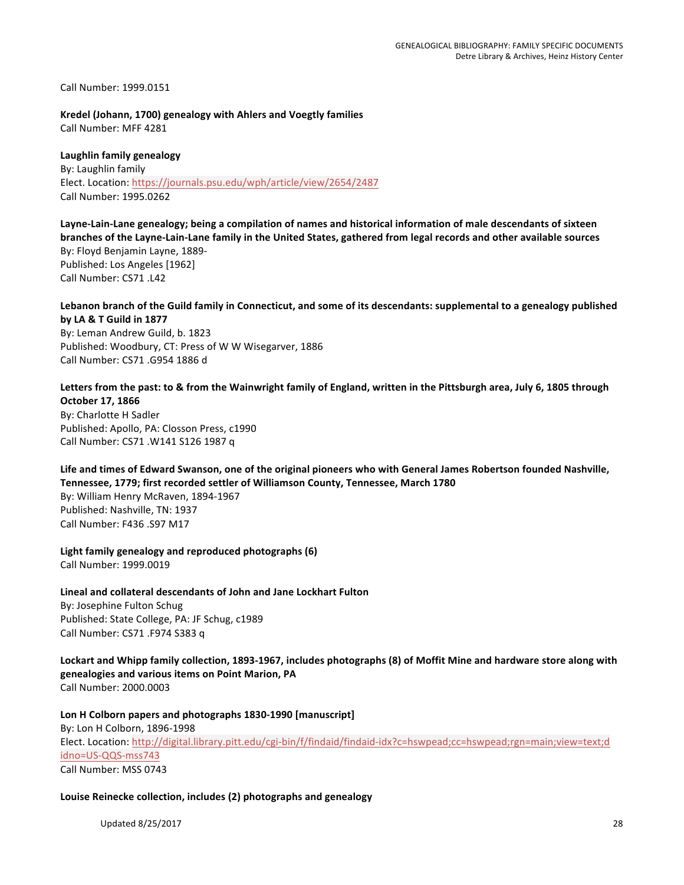Call Number: 1999.0151

**Kredel (Johann, 1700) genealogy with Ahlers and Voegtly families** Call Number: MFF 4281

# **Laughlin family genealogy**

By: Laughlin family Elect. Location: https://journals.psu.edu/wph/article/view/2654/2487 Call Number: 1995.0262

Layne-Lain-Lane genealogy; being a compilation of names and historical information of male descendants of sixteen branches of the Layne-Lain-Lane family in the United States, gathered from legal records and other available sources By: Floyd Benjamin Layne, 1889-Published: Los Angeles [1962] Call Number: CS71 .L42

Lebanon branch of the Guild family in Connecticut, and some of its descendants: supplemental to a genealogy published **by LA & T Guild in 1877**

By: Leman Andrew Guild, b. 1823 Published: Woodbury, CT: Press of W W Wisegarver, 1886 Call Number: CS71 .G954 1886 d

Letters from the past: to & from the Wainwright family of England, written in the Pittsburgh area, July 6, 1805 through **October 17, 1866**

By: Charlotte H Sadler Published: Apollo, PA: Closson Press, c1990 Call Number: CS71 .W141 S126 1987 q

Life and times of Edward Swanson, one of the original pioneers who with General James Robertson founded Nashville, Tennessee, 1779; first recorded settler of Williamson County, Tennessee, March 1780

By: William Henry McRaven, 1894-1967 Published: Nashville, TN: 1937 Call Number: F436 .S97 M17

Light family genealogy and reproduced photographs (6) Call Number: 1999.0019

Lineal and collateral descendants of John and Jane Lockhart Fulton

By: Josephine Fulton Schug Published: State College, PA: JF Schug, c1989 Call Number: CS71 .F974 S383 q

Lockart and Whipp family collection, 1893-1967, includes photographs (8) of Moffit Mine and hardware store along with genealogies and various items on Point Marion, PA Call Number: 2000.0003

Lon H Colborn papers and photographs 1830-1990 [manuscript] By: Lon H Colborn, 1896-1998 Elect. Location: http://digital.library.pitt.edu/cgi-bin/f/findaid/findaid-idx?c=hswpead;cc=hswpead;rgn=main;view=text;d idno=US-QQS-mss743 Call Number: MSS 0743

Louise Reinecke collection, includes (2) photographs and genealogy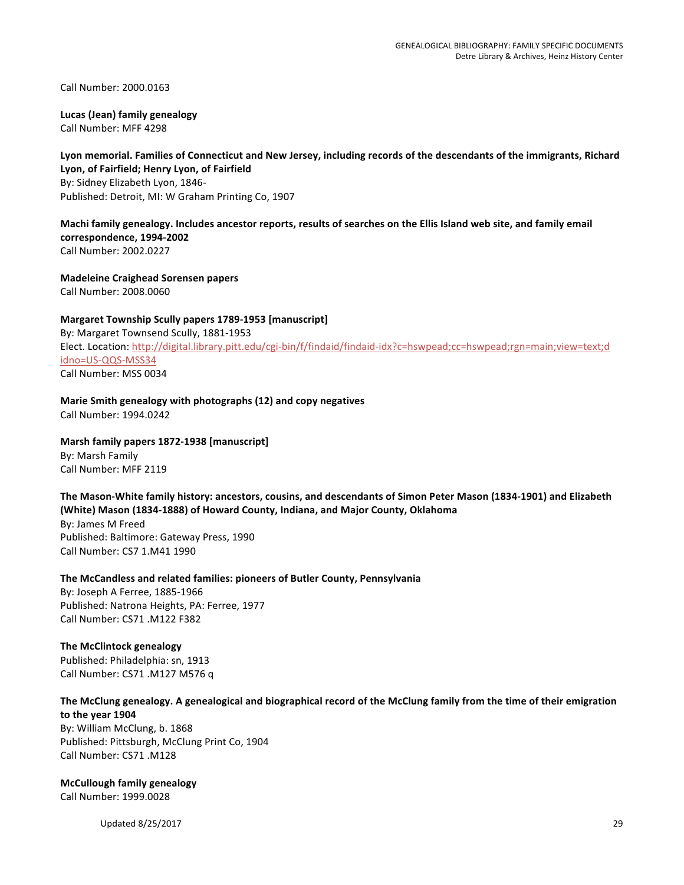Call Number: 2000.0163

# **Lucas (Jean) family genealogy**

Call Number: MFF 4298

#### Lyon memorial. Families of Connecticut and New Jersey, including records of the descendants of the immigrants, Richard Lyon, of Fairfield; Henry Lyon, of Fairfield

By: Sidney Elizabeth Lyon, 1846-Published: Detroit, MI: W Graham Printing Co, 1907

# Machi family genealogy. Includes ancestor reports, results of searches on the Ellis Island web site, and family email **correspondence, 1994-2002**

Call Number: 2002.0227

**Madeleine Craighead Sorensen papers** Call Number: 2008.0060

# **Margaret Township Scully papers 1789-1953 [manuscript]**

By: Margaret Townsend Scully, 1881-1953 Elect. Location: http://digital.library.pitt.edu/cgi-bin/f/findaid/findaid-idx?c=hswpead;cc=hswpead;rgn=main;view=text;d idno=US-QQS-MSS34 Call Number: MSS 0034

**Marie Smith genealogy with photographs (12) and copy negatives** Call Number: 1994.0242

# **Marsh family papers 1872-1938 [manuscript]**

By: Marsh Family Call Number: MFF 2119

#### The Mason-White family history: ancestors, cousins, and descendants of Simon Peter Mason (1834-1901) and Elizabeth (White) Mason (1834-1888) of Howard County, Indiana, and Major County, Oklahoma

By: James M Freed Published: Baltimore: Gateway Press, 1990 Call Number: CS7 1.M41 1990

# The McCandless and related families: pioneers of Butler County, Pennsylvania

By: Joseph A Ferree, 1885-1966 Published: Natrona Heights, PA: Ferree, 1977 Call Number: CS71 .M122 F382

## **The McClintock genealogy**

Published: Philadelphia: sn, 1913 Call Number: CS71 .M127 M576 q

## The McClung genealogy. A genealogical and biographical record of the McClung family from the time of their emigration to the year 1904

By: William McClung, b. 1868 Published: Pittsburgh, McClung Print Co, 1904 Call Number: CS71 .M128

# **McCullough family genealogy**

Call Number: 1999.0028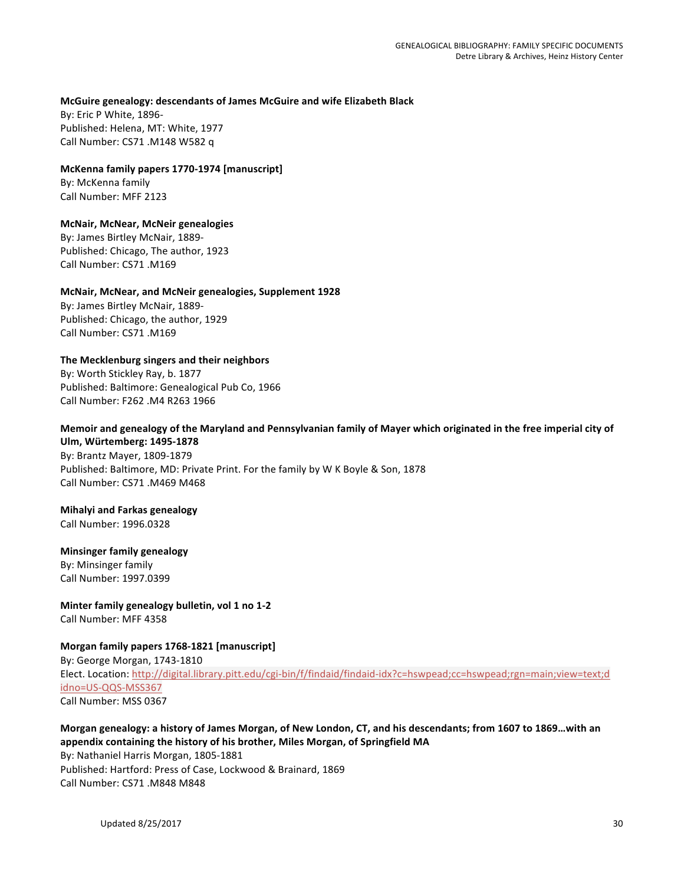#### **McGuire genealogy: descendants of James McGuire and wife Elizabeth Black**

By: Eric P White, 1896-Published: Helena, MT: White, 1977 Call Number: CS71 .M148 W582 q

#### **McKenna family papers 1770-1974 [manuscript]**

By: McKenna family Call Number: MFF 2123

# **McNair, McNear, McNeir genealogies**

By: James Birtley McNair, 1889-Published: Chicago, The author, 1923 Call Number: CS71 .M169

## **McNair, McNear, and McNeir genealogies, Supplement 1928**

By: James Birtley McNair, 1889-Published: Chicago, the author, 1929 Call Number: CS71 .M169

# **The Mecklenburg singers and their neighbors**

By: Worth Stickley Ray, b. 1877 Published: Baltimore: Genealogical Pub Co, 1966 Call Number: F262 .M4 R263 1966

#### Memoir and genealogy of the Maryland and Pennsylvanian family of Mayer which originated in the free imperial city of **Ulm, Würtemberg: 1495-1878**

By: Brantz Mayer, 1809-1879 Published: Baltimore, MD: Private Print. For the family by W K Boyle & Son, 1878 Call Number: CS71 .M469 M468

## **Mihalyi and Farkas genealogy**

Call Number: 1996.0328

# **Minsinger family genealogy**

By: Minsinger family Call Number: 1997.0399

## **Minter family genealogy bulletin, vol 1 no 1-2** Call Number: MFF 4358

## **Morgan family papers 1768-1821 [manuscript]**

By: George Morgan, 1743-1810 Elect. Location: http://digital.library.pitt.edu/cgi-bin/f/findaid/findaid-idx?c=hswpead;cc=hswpead;rgn=main;view=text;d idno=US-QQS-MSS367 Call Number: MSS 0367

# Morgan genealogy: a history of James Morgan, of New London, CT, and his descendants; from 1607 to 1869...with an appendix containing the history of his brother, Miles Morgan, of Springfield MA

By: Nathaniel Harris Morgan, 1805-1881 Published: Hartford: Press of Case, Lockwood & Brainard, 1869 Call Number: CS71 .M848 M848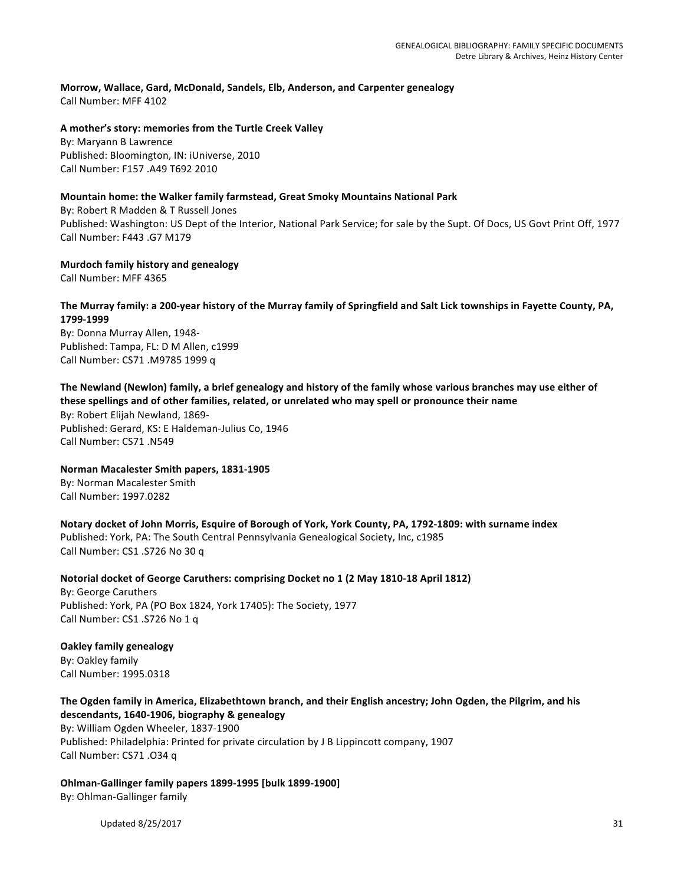**Morrow, Wallace, Gard, McDonald, Sandels, Elb, Anderson, and Carpenter genealogy** Call Number: MFF 4102

#### A mother's story: memories from the Turtle Creek Valley

By: Maryann B Lawrence Published: Bloomington, IN: iUniverse, 2010 Call Number: F157 .A49 T692 2010

## **Mountain home: the Walker family farmstead, Great Smoky Mountains National Park**

By: Robert R Madden & T Russell Jones Published: Washington: US Dept of the Interior, National Park Service; for sale by the Supt. Of Docs, US Govt Print Off, 1977 Call Number: F443 .G7 M179

**Murdoch family history and genealogy**

Call Number: MFF 4365

## The Murray family: a 200-year history of the Murray family of Springfield and Salt Lick townships in Fayette County, PA, **1799-1999**

By: Donna Murray Allen, 1948-Published: Tampa, FL: D M Allen, c1999 Call Number: CS71 .M9785 1999 q

# The Newland (Newlon) family, a brief genealogy and history of the family whose various branches may use either of

these spellings and of other families, related, or unrelated who may spell or pronounce their name By: Robert Elijah Newland, 1869-Published: Gerard, KS: E Haldeman-Julius Co, 1946 Call Number: CS71 .N549

**Norman Macalester Smith papers, 1831-1905**

By: Norman Macalester Smith Call Number: 1997.0282

Notary docket of John Morris, Esquire of Borough of York, York County, PA, 1792-1809: with surname index Published: York, PA: The South Central Pennsylvania Genealogical Society, Inc, c1985 Call Number: CS1 .S726 No 30 q

**Notorial docket of George Caruthers: comprising Docket no 1 (2 May 1810-18 April 1812)** By: George Caruthers Published: York, PA (PO Box 1824, York 17405): The Society, 1977 Call Number: CS1 .S726 No 1 q

**Oakley family genealogy** By: Oakley family Call Number: 1995.0318

The Ogden family in America, Elizabethtown branch, and their English ancestry; John Ogden, the Pilgrim, and his **descendants, 1640-1906, biography & genealogy** By: William Ogden Wheeler, 1837-1900 Published: Philadelphia: Printed for private circulation by J B Lippincott company, 1907 Call Number: CS71 .034 q

**Ohlman-Gallinger family papers 1899-1995 [bulk 1899-1900]** By: Ohlman-Gallinger family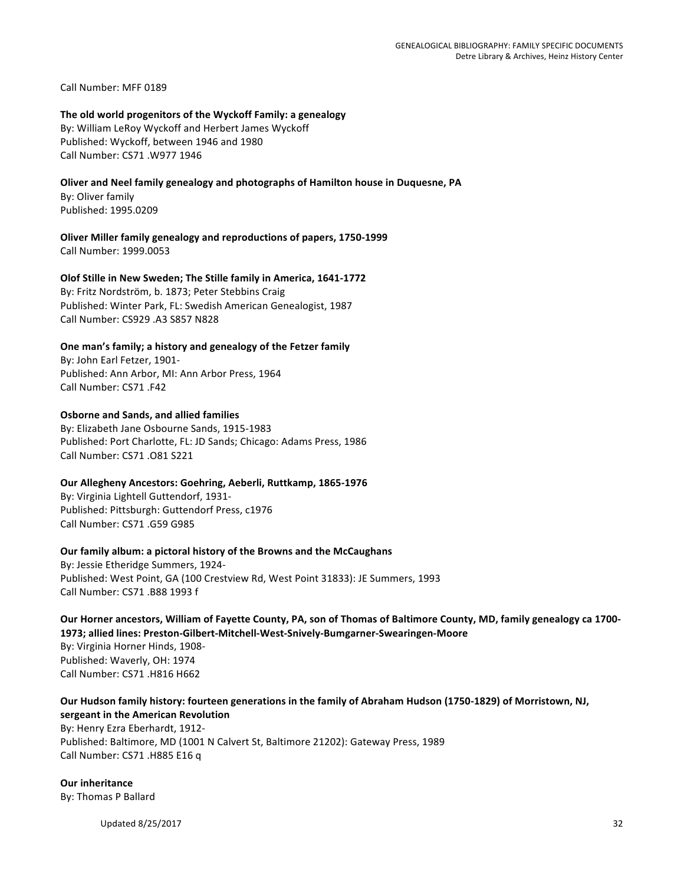Call Number: MFF 0189

#### The old world progenitors of the Wyckoff Family: a genealogy By: William LeRoy Wyckoff and Herbert James Wyckoff

Published: Wyckoff, between 1946 and 1980 Call Number: CS71 .W977 1946

# **Oliver and Neel family genealogy and photographs of Hamilton house in Duquesne, PA**

By: Oliver family Published: 1995.0209

#### **Oliver Miller family genealogy and reproductions of papers, 1750-1999** Call Number: 1999.0053

## **Olof Stille in New Sweden; The Stille family in America, 1641-1772**

By: Fritz Nordström, b. 1873; Peter Stebbins Craig Published: Winter Park, FL: Swedish American Genealogist, 1987 Call Number: CS929 .A3 S857 N828

# One man's family; a history and genealogy of the Fetzer family

By: John Earl Fetzer, 1901-Published: Ann Arbor, MI: Ann Arbor Press, 1964 Call Number: CS71 .F42

## **Osborne and Sands, and allied families**

By: Elizabeth Jane Osbourne Sands, 1915-1983 Published: Port Charlotte, FL: JD Sands; Chicago: Adams Press, 1986 Call Number: CS71 .O81 S221

## **Our Allegheny Ancestors: Goehring, Aeberli, Ruttkamp, 1865-1976**

By: Virginia Lightell Guttendorf, 1931-Published: Pittsburgh: Guttendorf Press, c1976 Call Number: CS71 .G59 G985

## **Our family album: a pictoral history of the Browns and the McCaughans**

By: Jessie Etheridge Summers, 1924-Published: West Point, GA (100 Crestview Rd, West Point 31833): JE Summers, 1993 Call Number: CS71 .B88 1993 f

# Our Horner ancestors, William of Fayette County, PA, son of Thomas of Baltimore County, MD, family genealogy ca 1700-1973; allied lines: Preston-Gilbert-Mitchell-West-Snively-Bumgarner-Swearingen-Moore By: Virginia Horner Hinds, 1908-Published: Waverly, OH: 1974 Call Number: CS71 .H816 H662

# Our Hudson family history: fourteen generations in the family of Abraham Hudson (1750-1829) of Morristown, NJ, **sergeant in the American Revolution** By: Henry Ezra Eberhardt, 1912-Published: Baltimore, MD (1001 N Calvert St, Baltimore 21202): Gateway Press, 1989

Call Number: CS71 .H885 E16 q

## **Our inheritance**

By: Thomas P Ballard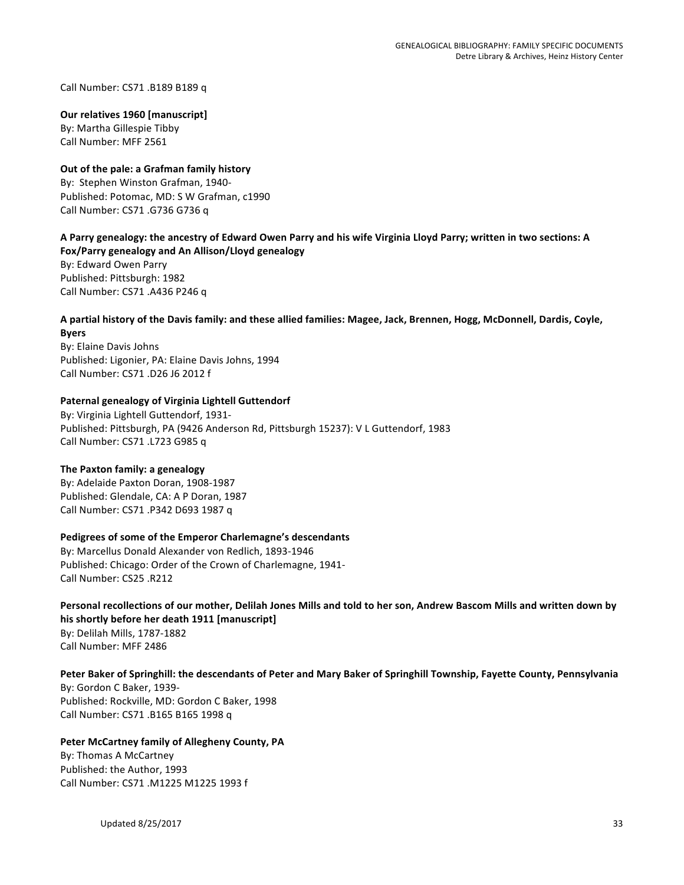Call Number: CS71 .B189 B189 q

#### **Our relatives 1960 [manuscript]**

By: Martha Gillespie Tibby Call Number: MFF 2561

# **Out of the pale: a Grafman family history**

By: Stephen Winston Grafman, 1940-Published: Potomac, MD: S W Grafman, c1990 Call Number: CS71 .G736 G736 q

# A Parry genealogy: the ancestry of Edward Owen Parry and his wife Virginia Lloyd Parry; written in two sections: A

**Fox/Parry genealogy and An Allison/Lloyd genealogy** By: Edward Owen Parry Published: Pittsburgh: 1982 Call Number: CS71 .A436 P246 q

# A partial history of the Davis family: and these allied families: Magee, Jack, Brennen, Hogg, McDonnell, Dardis, Coyle,

**Byers** By: Elaine Davis Johns Published: Ligonier, PA: Elaine Davis Johns, 1994 Call Number: CS71 .D26 J6 2012 f

## **Paternal genealogy of Virginia Lightell Guttendorf**

By: Virginia Lightell Guttendorf, 1931-Published: Pittsburgh, PA (9426 Anderson Rd, Pittsburgh 15237): V L Guttendorf, 1983 Call Number: CS71 .L723 G985 q

## **The Paxton family: a genealogy**

By: Adelaide Paxton Doran, 1908-1987 Published: Glendale, CA: A P Doran, 1987 Call Number: CS71 .P342 D693 1987 q

## Pedigrees of some of the Emperor Charlemagne's descendants

By: Marcellus Donald Alexander von Redlich, 1893-1946 Published: Chicago: Order of the Crown of Charlemagne, 1941-Call Number: CS25 .R212

#### Personal recollections of our mother, Delilah Jones Mills and told to her son, Andrew Bascom Mills and written down by his shortly before her death 1911 [manuscript]

By: Delilah Mills, 1787-1882 Call Number: MFF 2486

# Peter Baker of Springhill: the descendants of Peter and Mary Baker of Springhill Township, Fayette County, Pennsylvania

By: Gordon C Baker, 1939-Published: Rockville, MD: Gordon C Baker, 1998 Call Number: CS71 .B165 B165 1998 q

## Peter McCartney family of Allegheny County, PA

By: Thomas A McCartney Published: the Author, 1993 Call Number: CS71 .M1225 M1225 1993 f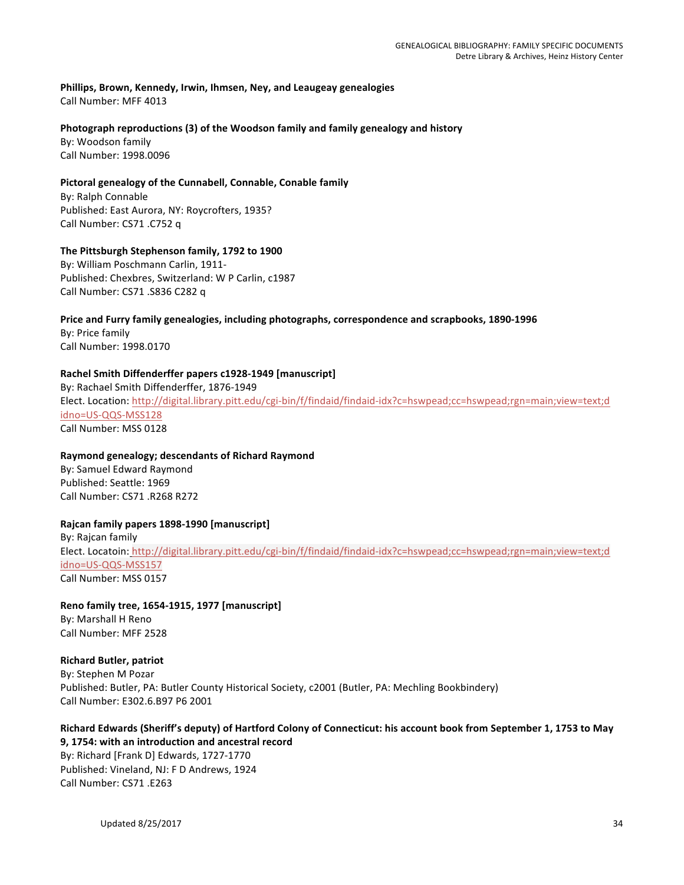Phillips, Brown, Kennedy, Irwin, Ihmsen, Ney, and Leaugeay genealogies Call Number: MFF 4013

## Photograph reproductions (3) of the Woodson family and family genealogy and history

By: Woodson family Call Number: 1998.0096

## Pictoral genealogy of the Cunnabell, Connable, Conable family

By: Ralph Connable Published: East Aurora, NY: Roycrofters, 1935? Call Number: CS71 .C752 q

## The Pittsburgh Stephenson family, 1792 to 1900

By: William Poschmann Carlin, 1911-Published: Chexbres, Switzerland: W P Carlin, c1987 Call Number: CS71 .S836 C282 q

# Price and Furry family genealogies, including photographs, correspondence and scrapbooks, 1890-1996

By: Price family Call Number: 1998.0170

## Rachel Smith Diffenderffer papers c1928-1949 [manuscript]

By: Rachael Smith Diffenderffer, 1876-1949 Elect. Location: http://digital.library.pitt.edu/cgi-bin/f/findaid/findaid-idx?c=hswpead;cc=hswpead;rgn=main;view=text;d idno=US-QQS-MSS128 Call Number: MSS 0128

## **Raymond genealogy; descendants of Richard Raymond**

By: Samuel Edward Raymond Published: Seattle: 1969 Call Number: CS71 .R268 R272

## **Rajcan family papers 1898-1990 [manuscript]**

By: Rajcan family Elect. Locatoin: http://digital.library.pitt.edu/cgi-bin/f/findaid/findaid-idx?c=hswpead;cc=hswpead;rgn=main;view=text;d idno=US-QQS-MSS157 Call Number: MSS 0157

**Reno family tree, 1654-1915, 1977 [manuscript]** By: Marshall H Reno Call Number: MFF 2528

**Richard Butler, patriot** By: Stephen M Pozar Published: Butler, PA: Butler County Historical Society, c2001 (Butler, PA: Mechling Bookbindery) Call Number: E302.6.B97 P6 2001

## Richard Edwards (Sheriff's deputy) of Hartford Colony of Connecticut: his account book from September 1, 1753 to May **9, 1754: with an introduction and ancestral record**

By: Richard [Frank D] Edwards, 1727-1770 Published: Vineland, NJ: F D Andrews, 1924 Call Number: CS71 .E263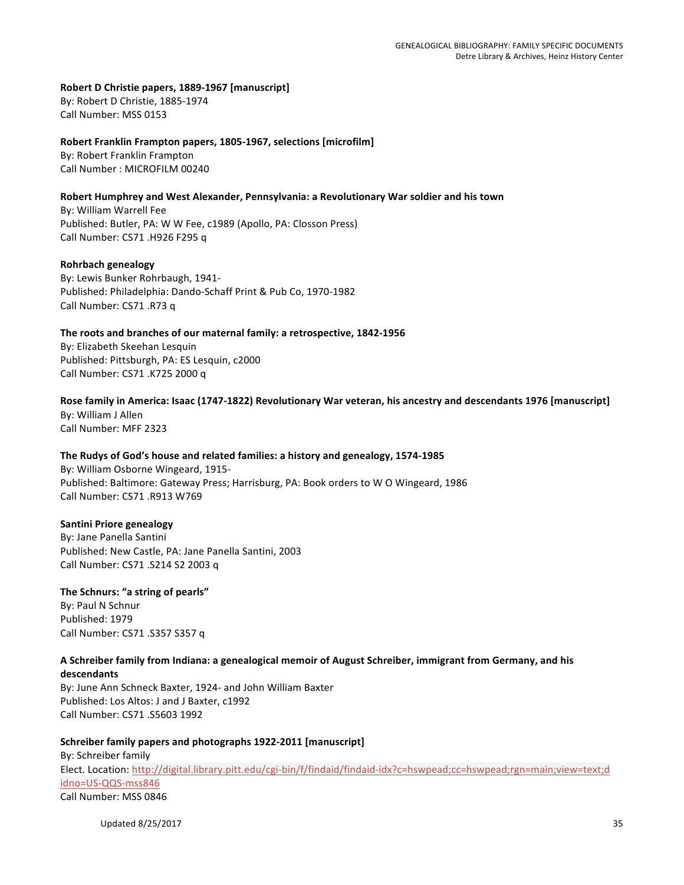#### Robert D Christie papers, 1889-1967 [manuscript]

By: Robert D Christie, 1885-1974 Call Number: MSS 0153

#### **Robert Franklin Frampton papers, 1805-1967, selections [microfilm]**

By: Robert Franklin Frampton Call Number : MICROFILM 00240

## Robert Humphrey and West Alexander, Pennsylvania: a Revolutionary War soldier and his town

By: William Warrell Fee Published: Butler, PA: W W Fee, c1989 (Apollo, PA: Closson Press) Call Number: CS71 .H926 F295 q

#### **Rohrbach genealogy**

By: Lewis Bunker Rohrbaugh, 1941-Published: Philadelphia: Dando-Schaff Print & Pub Co, 1970-1982 Call Number: CS71 .R73 q

#### The roots and branches of our maternal family: a retrospective, 1842-1956

By: Elizabeth Skeehan Lesquin Published: Pittsburgh, PA: ES Lesquin, c2000 Call Number: CS71 .K725 2000 q

# Rose family in America: Isaac (1747-1822) Revolutionary War veteran, his ancestry and descendants 1976 [manuscript]

By: William J Allen Call Number: MFF 2323

## The Rudys of God's house and related families: a history and genealogy, 1574-1985

By: William Osborne Wingeard, 1915-Published: Baltimore: Gateway Press; Harrisburg, PA: Book orders to W O Wingeard, 1986 Call Number: CS71 .R913 W769

## **Santini Priore genealogy**

By: Jane Panella Santini Published: New Castle, PA: Jane Panella Santini, 2003 Call Number: CS71 .S214 S2 2003 q

## The Schnurs: "a string of pearls"

By: Paul N Schnur Published: 1979 Call Number: CS71 .S357 S357 q

## A Schreiber family from Indiana: a genealogical memoir of August Schreiber, immigrant from Germany, and his **descendants**

By: June Ann Schneck Baxter, 1924- and John William Baxter Published: Los Altos: J and J Baxter, c1992 Call Number: CS71 .S5603 1992

## Schreiber family papers and photographs 1922-2011 [manuscript]

By: Schreiber family Elect. Location: http://digital.library.pitt.edu/cgi-bin/f/findaid/findaid-idx?c=hswpead;cc=hswpead;rgn=main;view=text;d idno=US-QQS-mss846 Call Number: MSS 0846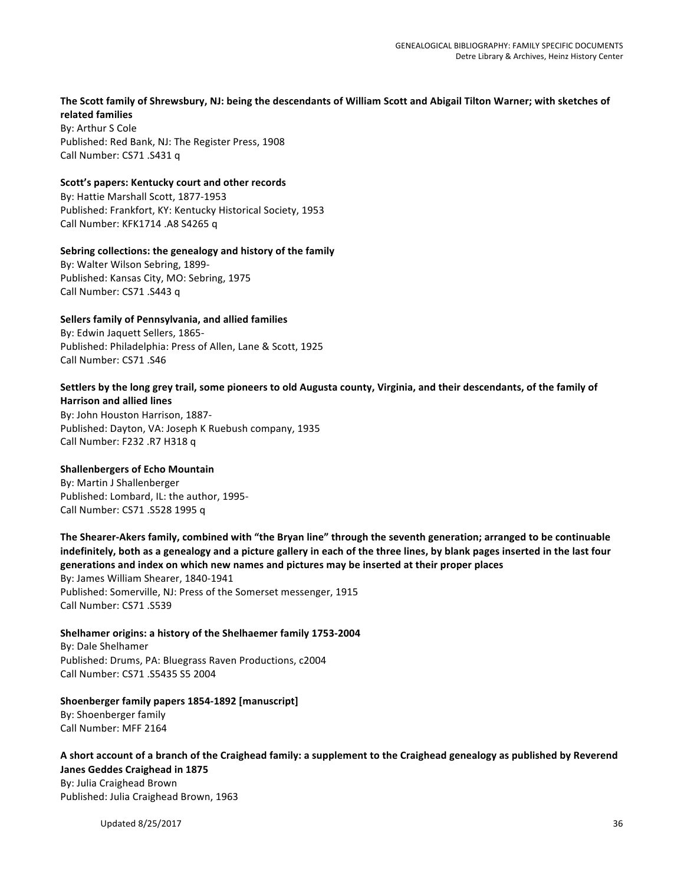## The Scott family of Shrewsbury, NJ: being the descendants of William Scott and Abigail Tilton Warner; with sketches of **related families**

By: Arthur S Cole Published: Red Bank, NJ: The Register Press, 1908 Call Number: CS71 .S431 q

#### Scott's papers: Kentucky court and other records

By: Hattie Marshall Scott, 1877-1953 Published: Frankfort, KY: Kentucky Historical Society, 1953 Call Number: KFK1714 .A8 S4265 q

#### Sebring collections: the genealogy and history of the family

By: Walter Wilson Sebring, 1899-Published: Kansas City, MO: Sebring, 1975 Call Number: CS71 .S443 q

#### **Sellers family of Pennsylvania, and allied families**

By: Edwin Jaquett Sellers, 1865-Published: Philadelphia: Press of Allen, Lane & Scott, 1925 Call Number: CS71 .S46

#### Settlers by the long grey trail, some pioneers to old Augusta county, Virginia, and their descendants, of the family of **Harrison and allied lines**

By: John Houston Harrison, 1887-Published: Dayton, VA: Joseph K Ruebush company, 1935 Call Number: F232 .R7 H318 q

## **Shallenbergers of Echo Mountain**

By: Martin J Shallenberger Published: Lombard, IL: the author, 1995-Call Number: CS71 .S528 1995 q

The Shearer-Akers family, combined with "the Bryan line" through the seventh generation; arranged to be continuable indefinitely, both as a genealogy and a picture gallery in each of the three lines, by blank pages inserted in the last four generations and index on which new names and pictures may be inserted at their proper places By: James William Shearer, 1840-1941 Published: Somerville, NJ: Press of the Somerset messenger, 1915 Call Number: CS71 .S539

## Shelhamer origins: a history of the Shelhaemer family 1753-2004

By: Dale Shelhamer Published: Drums, PA: Bluegrass Raven Productions, c2004 Call Number: CS71 .S5435 S5 2004

# Shoenberger family papers 1854-1892 [manuscript]

By: Shoenberger family Call Number: MFF 2164

#### A short account of a branch of the Craighead family: a supplement to the Craighead genealogy as published by Reverend **Janes Geddes Craighead in 1875**

By: Julia Craighead Brown Published: Julia Craighead Brown, 1963

Updated 8/25/2017 36 and 2012 12:00 and 2012 12:00 and 2012 12:00 and 2012 12:00 and 2012 12:00 and 2012 12:00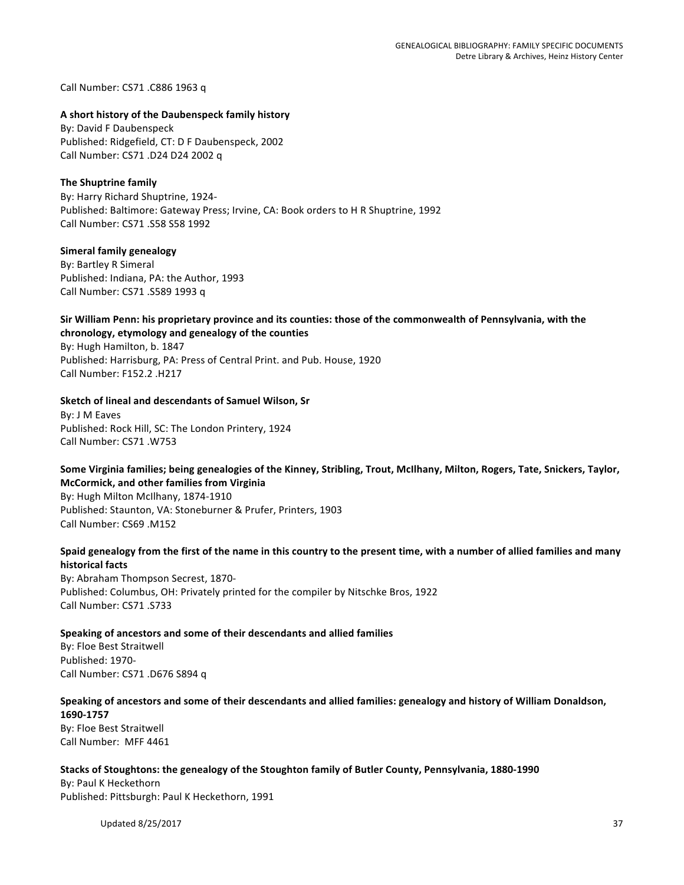Call Number: CS71 .C886 1963 q

#### **A short history of the Daubenspeck family history**

By: David F Daubenspeck Published: Ridgefield, CT: D F Daubenspeck, 2002 Call Number: CS71 .D24 D24 2002 q

#### **The Shuptrine family**

By: Harry Richard Shuptrine, 1924-Published: Baltimore: Gateway Press; Irvine, CA: Book orders to H R Shuptrine, 1992 Call Number: CS71 .S58 S58 1992

#### **Simeral family genealogy**

By: Bartley R Simeral Published: Indiana, PA: the Author, 1993 Call Number: CS71 .S589 1993 q

## Sir William Penn: his proprietary province and its counties: those of the commonwealth of Pennsylvania, with the chronology, etymology and genealogy of the counties

By: Hugh Hamilton, b. 1847 Published: Harrisburg, PA: Press of Central Print. and Pub. House, 1920 Call Number: F152.2 .H217

#### **Sketch of lineal and descendants of Samuel Wilson, Sr**

By: J M Eaves Published: Rock Hill, SC: The London Printery, 1924 Call Number: CS71 .W753

#### Some Virginia families; being genealogies of the Kinney, Stribling, Trout, McIlhany, Milton, Rogers, Tate, Snickers, Taylor, **McCormick, and other families from Virginia**

By: Hugh Milton McIlhany, 1874-1910 Published: Staunton, VA: Stoneburner & Prufer, Printers, 1903 Call Number: CS69 .M152

#### Spaid genealogy from the first of the name in this country to the present time, with a number of allied families and many **historical facts**

By: Abraham Thompson Secrest, 1870-Published: Columbus, OH: Privately printed for the compiler by Nitschke Bros, 1922 Call Number: CS71 .S733

#### Speaking of ancestors and some of their descendants and allied families

By: Floe Best Straitwell Published: 1970-Call Number: CS71 .D676 S894 q

# Speaking of ancestors and some of their descendants and allied families: genealogy and history of William Donaldson,

**1690-1757** By: Floe Best Straitwell Call Number: MFF 4461

#### Stacks of Stoughtons: the genealogy of the Stoughton family of Butler County, Pennsylvania, 1880-1990

By: Paul K Heckethorn Published: Pittsburgh: Paul K Heckethorn, 1991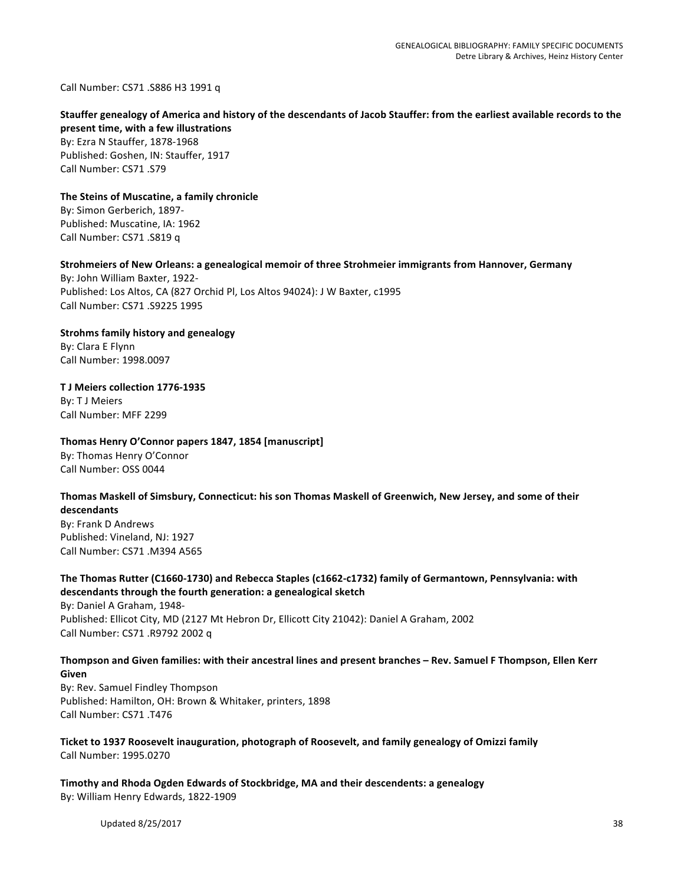Call Number: CS71 .S886 H3 1991 q

#### Stauffer genealogy of America and history of the descendants of Jacob Stauffer: from the earliest available records to the **present time, with a few illustrations**

By: Ezra N Stauffer, 1878-1968 Published: Goshen, IN: Stauffer, 1917 Call Number: CS71 .S79

#### The Steins of Muscatine, a family chronicle By: Simon Gerberich, 1897-

Published: Muscatine, IA: 1962 Call Number: CS71 .S819 q

#### Strohmeiers of New Orleans: a genealogical memoir of three Strohmeier immigrants from Hannover, Germany

By: John William Baxter, 1922-Published: Los Altos, CA (827 Orchid Pl, Los Altos 94024): J W Baxter, c1995 Call Number: CS71 .S9225 1995

**Strohms family history and genealogy** By: Clara E Flynn

Call Number: 1998.0097

**T J Meiers collection 1776-1935 By: T J Meiers** Call Number: MFF 2299

## Thomas Henry O'Connor papers 1847, 1854 [manuscript]

By: Thomas Henry O'Connor Call Number: OSS 0044

#### Thomas Maskell of Simsbury, Connecticut: his son Thomas Maskell of Greenwich, New Jersey, and some of their **descendants**

By: Frank D Andrews Published: Vineland, NJ: 1927 Call Number: CS71 .M394 A565

## The Thomas Rutter (C1660-1730) and Rebecca Staples (c1662-c1732) family of Germantown, Pennsylvania: with **descendants through the fourth generation: a genealogical sketch**

By: Daniel A Graham, 1948-Published: Ellicot City, MD (2127 Mt Hebron Dr, Ellicott City 21042): Daniel A Graham, 2002 Call Number: CS71 .R9792 2002 q

## Thompson and Given families: with their ancestral lines and present branches – Rev. Samuel F Thompson, Ellen Kerr **Given**

By: Rev. Samuel Findley Thompson Published: Hamilton, OH: Brown & Whitaker, printers, 1898 Call Number: CS71 .T476

#### Ticket to 1937 Roosevelt inauguration, photograph of Roosevelt, and family genealogy of Omizzi family Call Number: 1995.0270

**Timothy and Rhoda Ogden Edwards of Stockbridge, MA and their descendents: a genealogy** By: William Henry Edwards, 1822-1909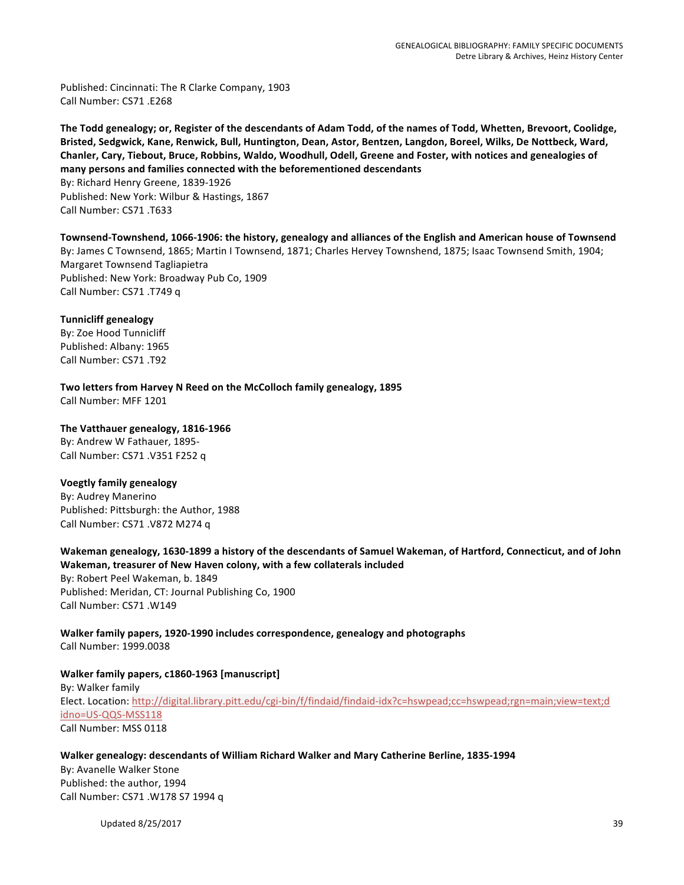Published: Cincinnati: The R Clarke Company, 1903 Call Number: CS71 .F268

The Todd genealogy; or, Register of the descendants of Adam Todd, of the names of Todd, Whetten, Brevoort, Coolidge, Bristed, Sedgwick, Kane, Renwick, Bull, Huntington, Dean, Astor, Bentzen, Langdon, Boreel, Wilks, De Nottbeck, Ward, Chanler, Cary, Tiebout, Bruce, Robbins, Waldo, Woodhull, Odell, Greene and Foster, with notices and genealogies of many persons and families connected with the beforementioned descendants By: Richard Henry Greene, 1839-1926 Published: New York: Wilbur & Hastings, 1867 Call Number: CS71 .T633

Townsend-Townshend, 1066-1906: the history, genealogy and alliances of the English and American house of Townsend By: James C Townsend, 1865; Martin I Townsend, 1871; Charles Hervey Townshend, 1875; Isaac Townsend Smith, 1904; Margaret Townsend Tagliapietra Published: New York: Broadway Pub Co, 1909 Call Number: CS71 .T749 q

**Tunnicliff genealogy** By: Zoe Hood Tunnicliff Published: Albany: 1965 Call Number: CS71 .T92

Two letters from Harvey N Reed on the McColloch family genealogy, 1895 Call Number: MFF 1201

The Vatthauer genealogy, 1816-1966

By: Andrew W Fathauer, 1895-Call Number: CS71 .V351 F252 q

## **Voegtly family genealogy**

By: Audrey Manerino Published: Pittsburgh: the Author, 1988 Call Number: CS71 .V872 M274 q

Wakeman genealogy, 1630-1899 a history of the descendants of Samuel Wakeman, of Hartford, Connecticut, and of John **Wakeman, treasurer of New Haven colony, with a few collaterals included** By: Robert Peel Wakeman, b. 1849 Published: Meridan, CT: Journal Publishing Co, 1900 Call Number: CS71 .W149

Walker family papers, 1920-1990 includes correspondence, genealogy and photographs Call Number: 1999.0038

## **Walker family papers, c1860-1963 [manuscript]**

By: Walker family Elect. Location: http://digital.library.pitt.edu/cgi-bin/f/findaid/findaid-idx?c=hswpead;cc=hswpead;rgn=main;view=text;d idno=US-QQS-MSS118 Call Number: MSS 0118

#### Walker genealogy: descendants of William Richard Walker and Mary Catherine Berline, 1835-1994

By: Avanelle Walker Stone Published: the author, 1994 Call Number: CS71 .W178 S7 1994 q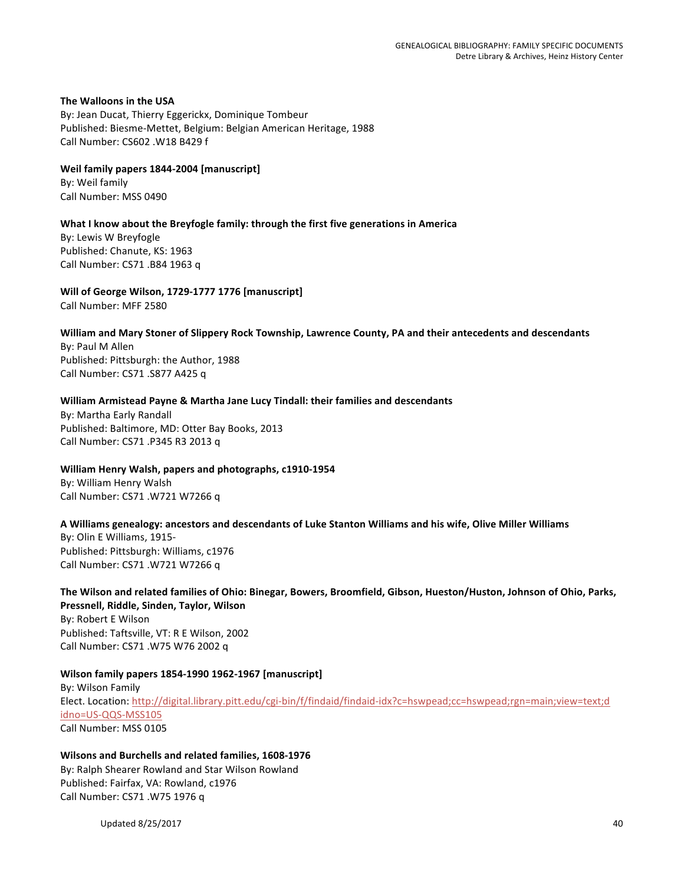**The Walloons in the USA** By: Jean Ducat, Thierry Eggerickx, Dominique Tombeur Published: Biesme-Mettet, Belgium: Belgian American Heritage, 1988 Call Number: CS602 .W18 B429 f

Weil family papers 1844-2004 [manuscript] By: Weil family Call Number: MSS 0490

## **What I know about the Breyfogle family: through the first five generations in America**

By: Lewis W Breyfogle Published: Chanute, KS: 1963 Call Number: CS71 .B84 1963 q

Will of George Wilson, 1729-1777 1776 [manuscript] Call Number: MFF 2580

#### William and Mary Stoner of Slippery Rock Township, Lawrence County, PA and their antecedents and descendants

By: Paul M Allen Published: Pittsburgh: the Author, 1988 Call Number: CS71 .S877 A425 q

#### William Armistead Payne & Martha Jane Lucy Tindall: their families and descendants

By: Martha Early Randall Published: Baltimore, MD: Otter Bay Books, 2013 Call Number: CS71 .P345 R3 2013 q

## William Henry Walsh, papers and photographs, c1910-1954

By: William Henry Walsh Call Number: CS71 .W721 W7266 q

#### A Williams genealogy: ancestors and descendants of Luke Stanton Williams and his wife, Olive Miller Williams

By: Olin E Williams, 1915-Published: Pittsburgh: Williams, c1976 Call Number: CS71 .W721 W7266 q

The Wilson and related families of Ohio: Binegar, Bowers, Broomfield, Gibson, Hueston/Huston, Johnson of Ohio, Parks, **Pressnell, Riddle, Sinden, Taylor, Wilson** By: Robert E Wilson Published: Taftsville, VT: R E Wilson, 2002 Call Number: CS71 .W75 W76 2002 q

## **Wilson family papers 1854-1990 1962-1967 [manuscript]**

By: Wilson Family Elect. Location: http://digital.library.pitt.edu/cgi-bin/f/findaid/findaid-idx?c=hswpead;cc=hswpead;rgn=main;view=text;d idno=US-QQS-MSS105 Call Number: MSS 0105

# Wilsons and Burchells and related families, 1608-1976 By: Ralph Shearer Rowland and Star Wilson Rowland Published: Fairfax, VA: Rowland, c1976

Call Number: CS71 .W75 1976 q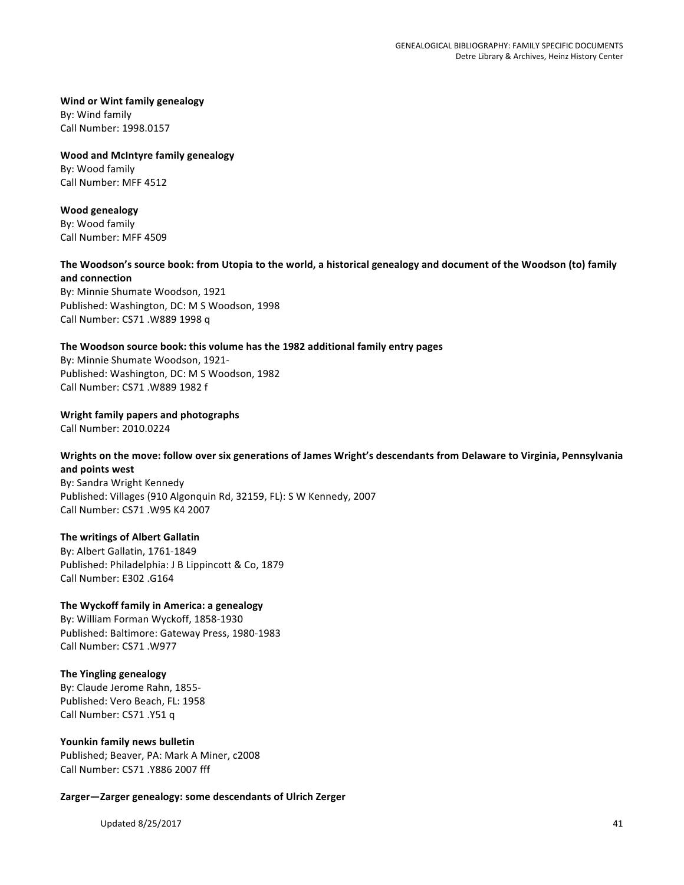**Wind or Wint family genealogy** By: Wind family Call Number: 1998.0157

**Wood and McIntyre family genealogy** By: Wood family Call Number: MFF 4512

**Wood genealogy**

By: Wood family Call Number: MFF 4509

## The Woodson's source book: from Utopia to the world, a historical genealogy and document of the Woodson (to) family **and connection**

By: Minnie Shumate Woodson, 1921 Published: Washington, DC: M S Woodson, 1998 Call Number: CS71 .W889 1998 q

## The Woodson source book: this volume has the 1982 additional family entry pages

By: Minnie Shumate Woodson, 1921-Published: Washington, DC: M S Woodson, 1982 Call Number: CS71 .W889 1982 f

**Wright family papers and photographs** 

Call Number: 2010.0224

# Wrights on the move: follow over six generations of James Wright's descendants from Delaware to Virginia, Pennsylvania **and points west**

By: Sandra Wright Kennedy Published: Villages (910 Algonquin Rd, 32159, FL): S W Kennedy, 2007 Call Number: CS71 .W95 K4 2007

## **The writings of Albert Gallatin**

By: Albert Gallatin, 1761-1849 Published: Philadelphia: J B Lippincott & Co, 1879 Call Number: E302 .G164

## The Wyckoff family in America: a genealogy

By: William Forman Wyckoff, 1858-1930 Published: Baltimore: Gateway Press, 1980-1983 Call Number: CS71 .W977

## **The Yingling genealogy**

By: Claude Jerome Rahn, 1855-Published: Vero Beach, FL: 1958 Call Number: CS71 .Y51 q

#### Younkin family news bulletin

Published; Beaver, PA: Mark A Miner, c2008 Call Number: CS71 .Y886 2007 fff

Zarger-Zarger genealogy: some descendants of Ulrich Zerger